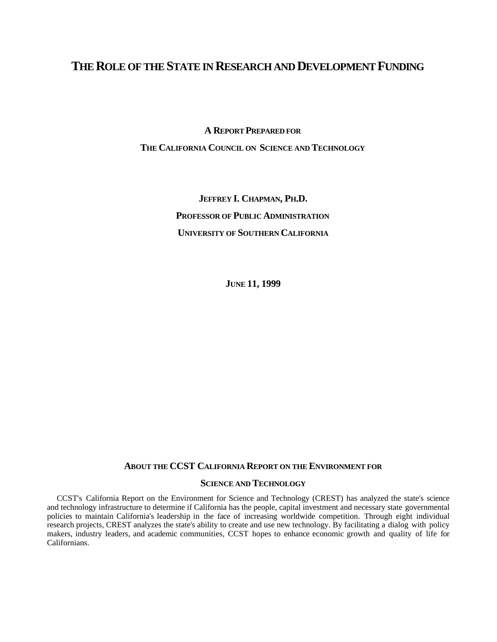# **THE ROLE OF THE STATE IN RESEARCH AND DEVELOPMENT FUNDING**

**A REPORT PREPARED FOR**

**THE CALIFORNIA COUNCIL ON SCIENCE AND TECHNOLOGY**

**JEFFREY I. CHAPMAN, PH.D. PROFESSOR OF PUBLIC ADMINISTRATION UNIVERSITY OF SOUTHERN CALIFORNIA**

**JUNE 11, 1999**

# **ABOUT THE CCST CALIFORNIA REPORT ON THE ENVIRONMENT FOR**

# **SCIENCE AND TECHNOLOGY**

CCST's California Report on the Environment for Science and Technology (CREST) has analyzed the state's science and technology infrastructure to determine if California has the people, capital investment and necessary state governmental policies to maintain California's leadership in the face of increasing worldwide competition. Through eight individual research projects, CREST analyzes the state's ability to create and use new technology. By facilitating a dialog with policy makers, industry leaders, and academic communities, CCST hopes to enhance economic growth and quality of life for Californians.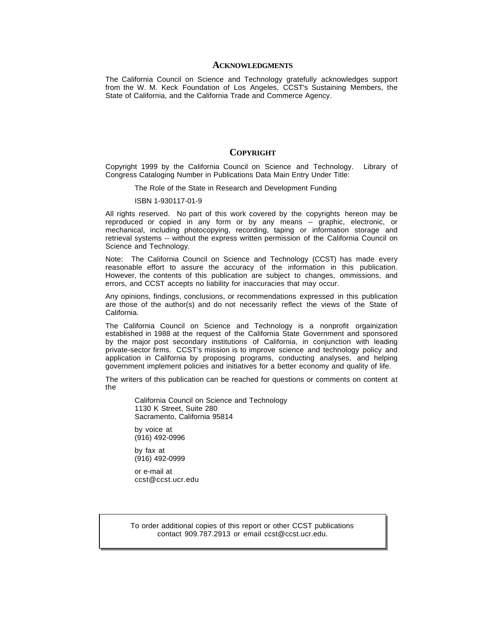#### **ACKNOWLEDGMENTS**

The California Council on Science and Technology gratefully acknowledges support from the W. M. Keck Foundation of Los Angeles, CCST's Sustaining Members, the State of California, and the California Trade and Commerce Agency.

#### **COPYRIGHT**

Copyright 1999 by the California Council on Science and Technology. Library of Congress Cataloging Number in Publications Data Main Entry Under Title:

The Role of the State in Research and Development Funding

#### ISBN 1-930117-01-9

All rights reserved. No part of this work covered by the copyrights hereon may be reproduced or copied in any form or by any means -- graphic, electronic, or mechanical, including photocopying, recording, taping or information storage and retrieval systems -- without the express written permission of the California Council on Science and Technology.

Note: The California Council on Science and Technology (CCST) has made every reasonable effort to assure the accuracy of the information in this publication. However, the contents of this publication are subject to changes, ommissions, and errors, and CCST accepts no liability for inaccuracies that may occur.

Any opinions, findings, conclusions, or recommendations expressed in this publication are those of the author(s) and do not necessarily reflect the views of the State of California.

The California Council on Science and Technology is a nonprofit orgainization established in 1988 at the request of the California State Government and sponsored by the major post secondary institutions of California, in conjunction with leading private-sector firms. CCST's mission is to improve science and technology policy and application in California by proposing programs, conducting analyses, and helping government implement policies and initiatives for a better economy and quality of life.

The writers of this publication can be reached for questions or comments on content at the

California Council on Science and Technology 1130 K Street, Suite 280 Sacramento, California 95814

by voice at (916) 492-0996

by fax at (916) 492-0999

or e-mail at ccst@ccst.ucr.edu

To order additional copies of this report or other CCST publications contact 909.787.2913 or email ccst@ccst.ucr.edu.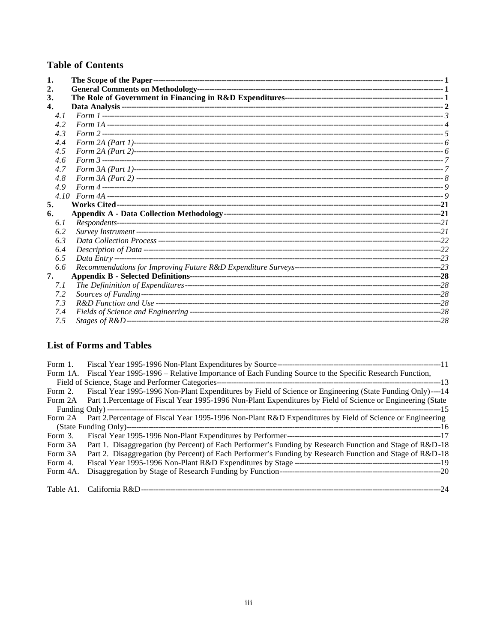# **Table of Contents**

| 1.  |  |
|-----|--|
| 2.  |  |
| 3.  |  |
| 4.  |  |
| 4.1 |  |
| 4.2 |  |
| 4.3 |  |
| 4.4 |  |
| 4.5 |  |
| 4.6 |  |
| 4.7 |  |
| 4.8 |  |
| 4.9 |  |
|     |  |
| 5.  |  |
| 6.  |  |
| 6.1 |  |
| 6.2 |  |
| 6.3 |  |
| 6.4 |  |
| 6.5 |  |
| 6.6 |  |
| 7.  |  |
| 7.1 |  |
| 7.2 |  |
|     |  |
| 7.3 |  |
| 7.4 |  |

# **List of Forms and Tables**

| Form 1.  |                                                                                                                      |  |
|----------|----------------------------------------------------------------------------------------------------------------------|--|
|          | Form 1A. Fiscal Year 1995-1996 – Relative Importance of Each Funding Source to the Specific Research Function,       |  |
|          |                                                                                                                      |  |
|          | Form 2. Fiscal Year 1995-1996 Non-Plant Expenditures by Field of Science or Engineering (State Funding Only)----14   |  |
|          | Form 2A Part 1. Percentage of Fiscal Year 1995-1996 Non-Plant Expenditures by Field of Science or Engineering (State |  |
|          |                                                                                                                      |  |
| Form 2A  | Part 2. Percentage of Fiscal Year 1995-1996 Non-Plant R&D Expenditures by Field of Science or Engineering            |  |
|          |                                                                                                                      |  |
| Form 3.  |                                                                                                                      |  |
| Form 3A  | Part 1. Disaggregation (by Percent) of Each Performer's Funding by Research Function and Stage of R&D-18             |  |
| Form 3A  | Part 2. Disaggregation (by Percent) of Each Performer's Funding by Research Function and Stage of R&D-18             |  |
| Form 4.  |                                                                                                                      |  |
| Form 4A. |                                                                                                                      |  |
|          |                                                                                                                      |  |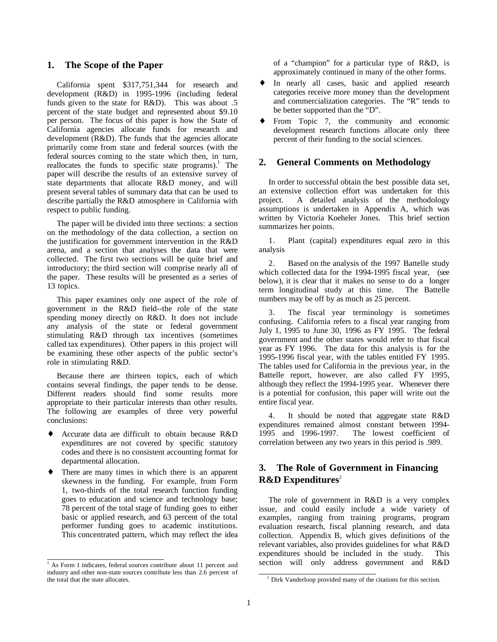### <span id="page-3-0"></span>**1. The Scope of the Paper**

California spent \$317,751,344 for research and development (R&D) in 1995-1996 (including federal funds given to the state for R&D). This was about .5 percent of the state budget and represented about \$9.10 per person. The focus of this paper is how the State of California agencies allocate funds for research and development (R&D). The funds that the agencies allocate primarily come from state and federal sources (with the federal sources coming to the state which then, in turn, reallocates the funds to specific state programs).<sup>1</sup> The paper will describe the results of an extensive survey of state departments that allocate R&D money, and will present several tables of summary data that can be used to describe partially the R&D atmosphere in California with respect to public funding.

The paper will be divided into three sections: a section on the methodology of the data collection, a section on the justification for government intervention in the R&D arena, and a section that analyses the data that were collected. The first two sections will be quite brief and introductory; the third section will comprise nearly all of the paper. These results will be presented as a series of 13 topics.

This paper examines only one aspect of the role of government in the R&D field--the role of the state spending money directly on R&D. It does not include any analysis of the state or federal government stimulating R&D through tax incentives (sometimes called tax expenditures). Other papers in this project will be examining these other aspects of the public sector's role in stimulating R&D.

Because there are thirteen topics, each of which contains several findings, the paper tends to be dense. Different readers should find some results more appropriate to their particular interests than other results. The following are examples of three very powerful conclusions:

- Accurate data are difficult to obtain because R&D expenditures are not covered by specific statutory codes and there is no consistent accounting format for departmental allocation.
- There are many times in which there is an apparent skewness in the funding. For example, from Form 1, two-thirds of the total research function funding goes to education and science and technology base; 78 percent of the total stage of funding goes to either basic or applied research, and 63 percent of the total performer funding goes to academic institutions. This concentrated pattern, which may reflect the idea

ł

of a "champion" for a particular type of R&D, is approximately continued in many of the other forms.

- ♦ In nearly all cases, basic and applied research categories receive more money than the development and commercialization categories. The "R" tends to be better supported than the "D".
- ♦ From Topic 7, the community and economic development research functions allocate only three percent of their funding to the social sciences.

### **2. General Comments on Methodology**

In order to successful obtain the best possible data set, an extensive collection effort was undertaken for this project. A detailed analysis of the methodology assumptions is undertaken in Appendix A, which was written by Victoria Koeheler Jones. This brief section summarizes her points.

1. Plant (capital) expenditures equal zero in this analysis

2. Based on the analysis of the 1997 Battelle study which collected data for the 1994-1995 fiscal year, (see below), it is clear that it makes no sense to do a longer term longitudinal study at this time. The Battelle numbers may be off by as much as 25 percent.

3. The fiscal year terminology is sometimes confusing. California refers to a fiscal year ranging from July 1, 1995 to June 30, 1996 as FY 1995. The federal government and the other states would refer to that fiscal year as FY 1996. The data for this analysis is for the 1995-1996 fiscal year, with the tables entitled FY 1995. The tables used for California in the previous year, in the Battelle report, however, are also called FY 1995, although they reflect the 1994-1995 year. Whenever there is a potential for confusion, this paper will write out the entire fiscal year.

4. It should be noted that aggregate state R&D expenditures remained almost constant between 1994-<br>1995 and 1996-1997. The lowest coefficient of The lowest coefficient of correlation between any two years in this period is .989.

# **3. The Role of Government in Financing R&D Expenditures<sup>2</sup>**

The role of government in R&D is a very complex issue, and could easily include a wide variety of examples, ranging from training programs, program evaluation research, fiscal planning research, and data collection. Appendix B, which gives definitions of the relevant variables, also provides guidelines for what R&D expenditures should be included in the study. This section will only address government and R&D

ł

<sup>&</sup>lt;sup>1</sup> As Form 1 indicates, federal sources contribute about 11 percent and industry and other non-state sources contribute less than 2.6 percent of the total that the state allocates.

 $2^2$  Dirk Vanderloop provided many of the citations for this section.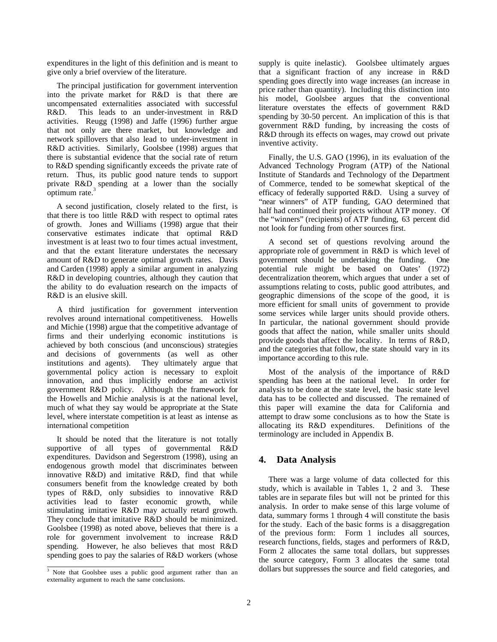<span id="page-4-0"></span>expenditures in the light of this definition and is meant to give only a brief overview of the literature.

The principal justification for government intervention into the private market for R&D is that there are uncompensated externalities associated with successful R&D. This leads to an under-investment in R&D activities. Reugg (1998) and Jaffe (1996) further argue that not only are there market, but knowledge and network spillovers that also lead to under-investment in R&D activities. Similarly, Goolsbee (1998) argues that there is substantial evidence that the social rate of return to R&D spending significantly exceeds the private rate of return. Thus, its public good nature tends to support private R&D spending at a lower than the socially exteed.<sup>3</sup>

A second justification, closely related to the first, is that there is too little R&D with respect to optimal rates of growth. Jones and Williams (1998) argue that their conservative estimates indicate that optimal R&D investment is at least two to four times actual investment, and that the extant literature understates the necessary amount of R&D to generate optimal growth rates. Davis and Carden (1998) apply a similar argument in analyzing R&D in developing countries, although they caution that the ability to do evaluation research on the impacts of R&D is an elusive skill.

A third justification for government intervention revolves around international competitiveness. Howells and Michie (1998) argue that the competitive advantage of firms and their underlying economic institutions is achieved by both conscious (and unconscious) strategies and decisions of governments (as well as other institutions and agents). They ultimately argue that governmental policy action is necessary to exploit innovation, and thus implicitly endorse an activist government R&D policy. Although the framework for the Howells and Michie analysis is at the national level, much of what they say would be appropriate at the State level, where interstate competition is at least as intense as international competition

It should be noted that the literature is not totally supportive of all types of governmental R&D expenditures. Davidson and Segerstrom (1998), using an endogenous growth model that discriminates between innovative R&D) and imitative R&D, find that while consumers benefit from the knowledge created by both types of R&D, only subsidies to innovative R&D activities lead to faster economic growth, while stimulating imitative R&D may actually retard growth. They conclude that imitative R&D should be minimized. Goolsbee (1998) as noted above, believes that there is a role for government involvement to increase R&D spending. However, he also believes that most R&D spending goes to pay the salaries of R&D workers (whose

supply is quite inelastic). Goolsbee ultimately argues that a significant fraction of any increase in R&D spending goes directly into wage increases (an increase in price rather than quantity). Including this distinction into his model, Goolsbee argues that the conventional literature overstates the effects of government R&D spending by 30-50 percent. An implication of this is that government R&D funding, by increasing the costs of R&D through its effects on wages, may crowd out private inventive activity.

Finally, the U.S. GAO (1996), in its evaluation of the Advanced Technology Program (ATP) of the National Institute of Standards and Technology of the Department of Commerce, tended to be somewhat skeptical of the efficacy of federally supported R&D. Using a survey of "near winners" of ATP funding, GAO determined that half had continued their projects without ATP money. Of the "winners" (recipients) of ATP funding, 63 percent did not look for funding from other sources first.

A second set of questions revolving around the appropriate role of government in R&D is which level of government should be undertaking the funding. One potential rule might be based on Oates' (1972) decentralization theorem, which argues that under a set of assumptions relating to costs, public good attributes, and geographic dimensions of the scope of the good, it is more efficient for small units of government to provide some services while larger units should provide others. In particular, the national government should provide goods that affect the nation, while smaller units should provide goods that affect the locality. In terms of R&D, and the categories that follow, the state should vary in its importance according to this rule.

Most of the analysis of the importance of R&D spending has been at the national level. In order for analysis to be done at the state level, the basic state level data has to be collected and discussed. The remained of this paper will examine the data for California and attempt to draw some conclusions as to how the State is allocating its R&D expenditures. Definitions of the terminology are included in Appendix B.

# **4. Data Analysis**

There was a large volume of data collected for this study, which is available in Tables 1, 2 and 3. These tables are in separate files but will not be printed for this analysis. In order to make sense of this large volume of data, summary forms 1 through 4 will constitute the basis for the study. Each of the basic forms is a disaggregation of the previous form: Form 1 includes all sources, research functions, fields, stages and performers of R&D, Form 2 allocates the same total dollars, but suppresses the source category, Form 3 allocates the same total dollars but suppresses the source and field categories, and

 $\overline{\text{3}^3}$  Note that Goolsbee uses a public good argument rather than an externality argument to reach the same conclusions.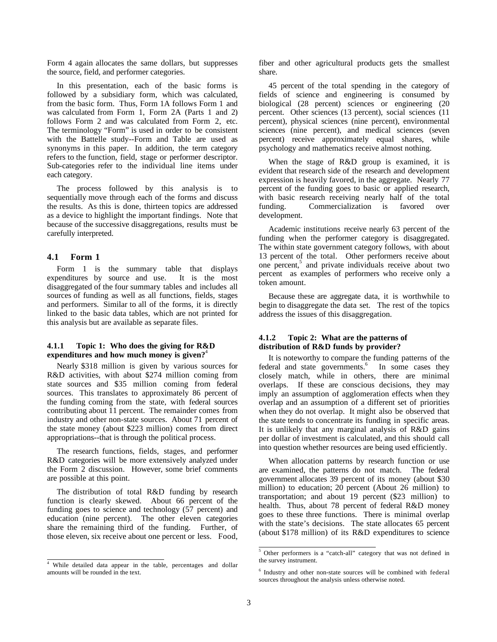<span id="page-5-0"></span>Form 4 again allocates the same dollars, but suppresses the source, field, and performer categories.

In this presentation, each of the basic forms is followed by a subsidiary form, which was calculated, from the basic form. Thus, Form 1A follows Form 1 and was calculated from Form 1, Form 2A (Parts 1 and 2) follows Form 2 and was calculated from Form 2, etc. The terminology "Form" is used in order to be consistent with the Battelle study--Form and Table are used as synonyms in this paper. In addition, the term category refers to the function, field, stage or performer descriptor. Sub-categories refer to the individual line items under each category.

The process followed by this analysis is to sequentially move through each of the forms and discuss the results. As this is done, thirteen topics are addressed as a device to highlight the important findings. Note that because of the successive disaggregations, results must be carefully interpreted.

#### **4.1 Form 1**

Form 1 is the summary table that displays expenditures by source and use. It is the most disaggregated of the four summary tables and includes all sources of funding as well as all functions, fields, stages and performers. Similar to all of the forms, it is directly linked to the basic data tables, which are not printed for this analysis but are available as separate files.

#### **4.1.1 Topic 1: Who does the giving for R&D expenditures and how much money is given?**<sup>4</sup>

Nearly \$318 million is given by various sources for R&D activities, with about \$274 million coming from state sources and \$35 million coming from federal sources. This translates to approximately 86 percent of the funding coming from the state, with federal sources contributing about 11 percent. The remainder comes from industry and other non-state sources. About 71 percent of the state money (about \$223 million) comes from direct appropriations--that is through the political process.

The research functions, fields, stages, and performer R&D categories will be more extensively analyzed under the Form 2 discussion. However, some brief comments are possible at this point.

The distribution of total R&D funding by research function is clearly skewed. About 66 percent of the funding goes to science and technology (57 percent) and education (nine percent). The other eleven categories share the remaining third of the funding. Further, of those eleven, six receive about one percent or less. Food, fiber and other agricultural products gets the smallest share.

45 percent of the total spending in the category of fields of science and engineering is consumed by biological (28 percent) sciences or engineering (20 percent. Other sciences (13 percent), social sciences (11 percent), physical sciences (nine percent), environmental sciences (nine percent), and medical sciences (seven percent) receive approximately equal shares, while psychology and mathematics receive almost nothing.

When the stage of R&D group is examined, it is evident that research side of the research and development expression is heavily favored, in the aggregate. Nearly 77 percent of the funding goes to basic or applied research, with basic research receiving nearly half of the total funding. Commercialization is favored over development.

Academic institutions receive nearly 63 percent of the funding when the performer category is disaggregated. The within state government category follows, with about 13 percent of the total. Other performers receive about one percent,<sup>5</sup> and private individuals receive about two percent as examples of performers who receive only a token amount.

Because these are aggregate data, it is worthwhile to begin to disaggregate the data set. The rest of the topics address the issues of this disaggregation.

#### **4.1.2 Topic 2: What are the patterns of distribution of R&D funds by provider?**

It is noteworthy to compare the funding patterns of the federal and state governments.<sup>6</sup> In some cases they closely match, while in others, there are minimal overlaps. If these are conscious decisions, they may imply an assumption of agglomeration effects when they overlap and an assumption of a different set of priorities when they do not overlap. It might also be observed that the state tends to concentrate its funding in specific areas. It is unlikely that any marginal analysis of R&D gains per dollar of investment is calculated, and this should call into question whether resources are being used efficiently.

When allocation patterns by research function or use are examined, the patterns do not match. The federal government allocates 39 percent of its money (about \$30 million) to education; 20 percent (About 26 million) to transportation; and about 19 percent (\$23 million) to health. Thus, about 78 percent of federal R&D money goes to these three functions. There is minimal overlap with the state's decisions. The state allocates 65 percent (about \$178 million) of its R&D expenditures to science

<sup>&</sup>lt;sup>4</sup> While detailed data appear in the table, percentages and dollar amounts will be rounded in the text.

 $\overline{\overline{5}}$  Other performers is a "catch-all" category that was not defined in the survey instrument.

<sup>6</sup> Industry and other non-state sources will be combined with federal sources throughout the analysis unless otherwise noted.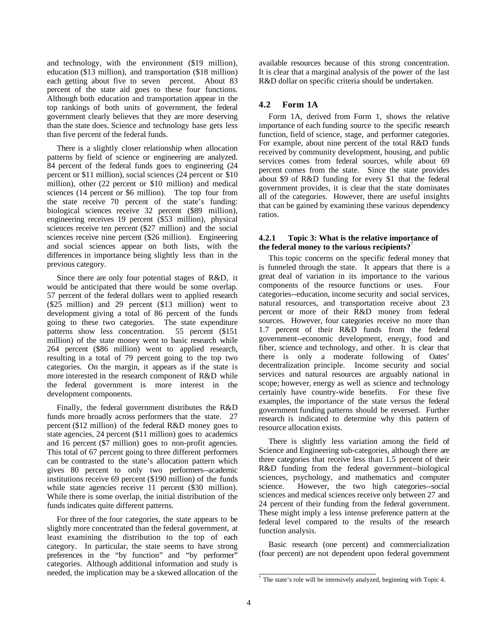<span id="page-6-0"></span>and technology, with the environment (\$19 million), education (\$13 million), and transportation (\$18 million) each getting about five to seven percent. About 83 percent of the state aid goes to these four functions. Although both education and transportation appear in the top rankings of both units of government, the federal government clearly believes that they are more deserving than the state does. Science and technology base gets less than five percent of the federal funds.

There is a slightly closer relationship when allocation patterns by field of science or engineering are analyzed. 84 percent of the federal funds goes to engineering (24 percent or \$11 million), social sciences (24 percent or \$10 million), other (22 percent or \$10 million) and medical sciences (14 percent or \$6 million). The top four from the state receive 70 percent of the state's funding: biological sciences receive 32 percent (\$89 million), engineering receives 19 percent (\$53 million), physical sciences receive ten percent (\$27 million) and the social sciences receive nine percent (\$26 million). Engineering and social sciences appear on both lists, with the differences in importance being slightly less than in the previous category.

Since there are only four potential stages of R&D, it would be anticipated that there would be some overlap. 57 percent of the federal dollars went to applied research (\$25 million) and 29 percent (\$13 million) went to development giving a total of 86 percent of the funds going to these two categories. The state expenditure patterns show less concentration. 55 percent (\$151) million) of the state money went to basic research while 264 percent (\$86 million) went to applied research, resulting in a total of 79 percent going to the top two categories. On the margin, it appears as if the state is more interested in the research component of R&D while the federal government is more interest in the development components.

Finally, the federal government distributes the R&D funds more broadly across performers that the state. 27 percent (\$12 million) of the federal R&D money goes to state agencies, 24 percent (\$11 million) goes to academics and 16 percent (\$7 million) goes to non-profit agencies. This total of 67 percent going to three different performers can be contrasted to the state's allocation pattern which gives 80 percent to only two performers--academic institutions receive 69 percent (\$190 million) of the funds while state agencies receive 11 percent (\$30 million). While there is some overlap, the initial distribution of the funds indicates quite different patterns.

For three of the four categories, the state appears to be slightly more concentrated than the federal government, at least examining the distribution to the top of each category. In particular, the state seems to have strong preferences in the "by function" and "by performer" categories. Although additional information and study is needed, the implication may be a skewed allocation of the available resources because of this strong concentration. It is clear that a marginal analysis of the power of the last R&D dollar on specific criteria should be undertaken.

### **4.2 Form 1A**

Form 1A, derived from Form 1, shows the relative importance of each funding source to the specific research function, field of science, stage, and performer categories. For example, about nine percent of the total R&D funds received by community development, housing, and public services comes from federal sources, while about 69 percent comes from the state. Since the state provides about \$9 of R&D funding for every \$1 that the federal government provides, it is clear that the state dominates all of the categories. However, there are useful insights that can be gained by examining these various dependency ratios.

#### **4.2.1 Topic 3: What is the relative importance of the federal money to the various recipients?**<sup>7</sup>

This topic concerns on the specific federal money that is funneled through the state. It appears that there is a great deal of variation in its importance to the various components of the resource functions or uses. Four categories--education, income security and social services, natural resources, and transportation receive about 23 percent or more of their R&D money from federal sources. However, four categories receive no more than 1.7 percent of their R&D funds from the federal government--economic development, energy, food and fiber, science and technology, and other. It is clear that there is only a moderate following of Oates' decentralization principle. Income security and social services and natural resources are arguably national in scope; however, energy as well as science and technology certainly have country-wide benefits. For these five examples, the importance of the state versus the federal government funding patterns should be reversed. Further research is indicated to determine why this pattern of resource allocation exists.

There is slightly less variation among the field of Science and Engineering sub-categories, although there are three categories that receive less than 1.5 percent of their R&D funding from the federal government--biological sciences, psychology, and mathematics and computer science. However, the two high categories--social sciences and medical sciences receive only between 27 and 24 percent of their funding from the federal government. These might imply a less intense preference pattern at the federal level compared to the results of the research function analysis.

Basic research (one percent) and commercialization (four percent) are not dependent upon federal government

 $\overline{7}$  The state's role will be intensively analyzed, beginning with Topic 4.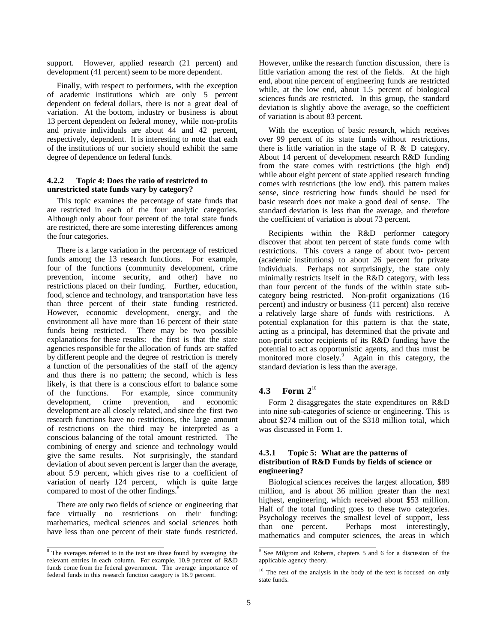<span id="page-7-0"></span>support. However, applied research (21 percent) and development (41 percent) seem to be more dependent.

Finally, with respect to performers, with the exception of academic institutions which are only 5 percent dependent on federal dollars, there is not a great deal of variation. At the bottom, industry or business is about 13 percent dependent on federal money, while non-profits and private individuals are about 44 and 42 percent, respectively, dependent. It is interesting to note that each of the institutions of our society should exhibit the same degree of dependence on federal funds.

#### **4.2.2 Topic 4: Does the ratio of restricted to unrestricted state funds vary by category?**

This topic examines the percentage of state funds that are restricted in each of the four analytic categories. Although only about four percent of the total state funds are restricted, there are some interesting differences among the four categories.

There is a large variation in the percentage of restricted funds among the 13 research functions. For example, four of the functions (community development, crime prevention, income security, and other) have no restrictions placed on their funding. Further, education, food, science and technology, and transportation have less than three percent of their state funding restricted. However, economic development, energy, and the environment all have more than 16 percent of their state funds being restricted. There may be two possible explanations for these results: the first is that the state agencies responsible for the allocation of funds are staffed by different people and the degree of restriction is merely a function of the personalities of the staff of the agency and thus there is no pattern; the second, which is less likely, is that there is a conscious effort to balance some of the functions. For example, since community development, crime prevention, and economic development are all closely related, and since the first two research functions have no restrictions, the large amount of restrictions on the third may be interpreted as a conscious balancing of the total amount restricted. The combining of energy and science and technology would give the same results. Not surprisingly, the standard deviation of about seven percent is larger than the average, about 5.9 percent, which gives rise to a coefficient of variation of nearly 124 percent, which is quite large compared to most of the other findings.<sup>8</sup>

There are only two fields of science or engineering that face virtually no restrictions on their funding: mathematics, medical sciences and social sciences both have less than one percent of their state funds restricted. However, unlike the research function discussion, there is little variation among the rest of the fields. At the high end, about nine percent of engineering funds are restricted while, at the low end, about 1.5 percent of biological sciences funds are restricted. In this group, the standard deviation is slightly above the average, so the coefficient of variation is about 83 percent.

With the exception of basic research, which receives over 99 percent of its state funds without restrictions, there is little variation in the stage of R & D category. About 14 percent of development research R&D funding from the state comes with restrictions (the high end) while about eight percent of state applied research funding comes with restrictions (the low end). this pattern makes sense, since restricting how funds should be used for basic research does not make a good deal of sense. The standard deviation is less than the average, and therefore the coefficient of variation is about 73 percent.

Recipients within the R&D performer category discover that about ten percent of state funds come with restrictions. This covers a range of about two- percent (academic institutions) to about 26 percent for private individuals. Perhaps not surprisingly, the state only minimally restricts itself in the R&D category, with less than four percent of the funds of the within state subcategory being restricted. Non-profit organizations (16 percent) and industry or business (11 percent) also receive a relatively large share of funds with restrictions. A potential explanation for this pattern is that the state, acting as a principal, has determined that the private and non-profit sector recipients of its R&D funding have the potential to act as opportunistic agents, and thus must be monitored more closely.<sup>9</sup> Again in this category, the standard deviation is less than the average.

# **4.3 Form 2**<sup>10</sup>

Form 2 disaggregates the state expenditures on R&D into nine sub-categories of science or engineering. This is about \$274 million out of the \$318 million total, which was discussed in Form 1.

#### **4.3.1 Topic 5: What are the patterns of distribution of R&D Funds by fields of science or engineering?**

Biological sciences receives the largest allocation, \$89 million, and is about 36 million greater than the next highest, engineering, which received about \$53 million. Half of the total funding goes to these two categories. Psychology receives the smallest level of support, less than one percent. Perhaps most interestingly, mathematics and computer sciences, the areas in which

 $\overline{\text{R}}$ <sup>8</sup> The averages referred to in the text are those found by averaging the relevant entries in each column. For example, 10.9 percent of R&D funds come from the federal government. The average importance of federal funds in this research function category is 16.9 percent.

 $\overline{\text{e}}$  See Milgrom and Roberts, chapters 5 and 6 for a discussion of the applicable agency theory.

<sup>&</sup>lt;sup>10</sup> The rest of the analysis in the body of the text is focused on only state funds.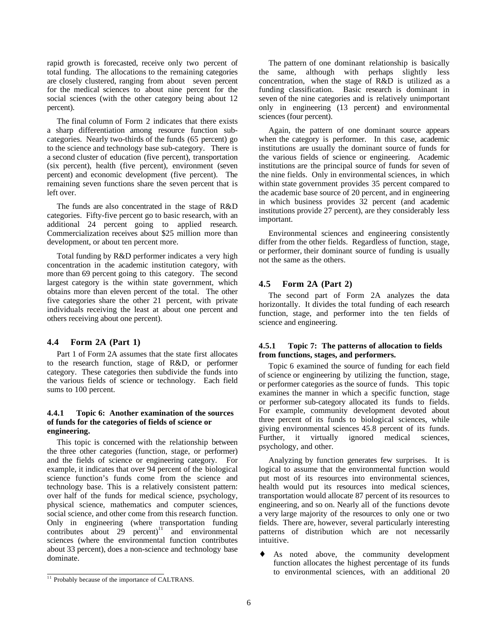<span id="page-8-0"></span>rapid growth is forecasted, receive only two percent of total funding. The allocations to the remaining categories are closely clustered, ranging from about seven percent for the medical sciences to about nine percent for the social sciences (with the other category being about 12 percent).

The final column of Form 2 indicates that there exists a sharp differentiation among resource function subcategories. Nearly two-thirds of the funds (65 percent) go to the science and technology base sub-category. There is a second cluster of education (five percent), transportation (six percent), health (five percent), environment (seven percent) and economic development (five percent). The remaining seven functions share the seven percent that is left over.

The funds are also concentrated in the stage of R&D categories. Fifty-five percent go to basic research, with an additional 24 percent going to applied research. Commercialization receives about \$25 million more than development, or about ten percent more.

Total funding by R&D performer indicates a very high concentration in the academic institution category, with more than 69 percent going to this category. The second largest category is the within state government, which obtains more than eleven percent of the total. The other five categories share the other 21 percent, with private individuals receiving the least at about one percent and others receiving about one percent).

#### **4.4 Form 2A (Part 1)**

Part 1 of Form 2A assumes that the state first allocates to the research function, stage of R&D, or performer category. These categories then subdivide the funds into the various fields of science or technology. Each field sums to 100 percent.

#### **4.4.1 Topic 6: Another examination of the sources of funds for the categories of fields of science or engineering.**

This topic is concerned with the relationship between the three other categories (function, stage, or performer) and the fields of science or engineering category. For example, it indicates that over 94 percent of the biological science function's funds come from the science and technology base. This is a relatively consistent pattern: over half of the funds for medical science, psychology, physical science, mathematics and computer sciences, social science, and other come from this research function. Only in engineering (where transportation funding contributes about  $29$  percent)<sup>11</sup> and environmental sciences (where the environmental function contributes about 33 percent), does a non-science and technology base dominate.

Again, the pattern of one dominant source appears when the category is performer. In this case, academic institutions are usually the dominant source of funds for the various fields of science or engineering. Academic institutions are the principal source of funds for seven of the nine fields. Only in environmental sciences, in which within state government provides 35 percent compared to the academic base source of 20 percent, and in engineering in which business provides 32 percent (and academic institutions provide 27 percent), are they considerably less important.

Environmental sciences and engineering consistently differ from the other fields. Regardless of function, stage, or performer, their dominant source of funding is usually not the same as the others.

#### **4.5 Form 2A (Part 2)**

The second part of Form 2A analyzes the data horizontally. It divides the total funding of each research function, stage, and performer into the ten fields of science and engineering.

#### **4.5.1 Topic 7: The patterns of allocation to fields from functions, stages, and performers.**

Topic 6 examined the source of funding for each field of science or engineering by utilizing the function, stage, or performer categories as the source of funds. This topic examines the manner in which a specific function, stage or performer sub-category allocated its funds to fields. For example, community development devoted about three percent of its funds to biological sciences, while giving environmental sciences 45.8 percent of its funds. Further, it virtually ignored medical sciences, psychology, and other.

Analyzing by function generates few surprises. It is logical to assume that the environmental function would put most of its resources into environmental sciences, health would put its resources into medical sciences, transportation would allocate 87 percent of its resources to engineering, and so on. Nearly all of the functions devote a very large majority of the resources to only one or two fields. There are, however, several particularly interesting patterns of distribution which are not necessarily intuitive.

As noted above, the community development function allocates the highest percentage of its funds to environmental sciences, with an additional 20

The pattern of one dominant relationship is basically the same, although with perhaps slightly less concentration, when the stage of R&D is utilized as a funding classification. Basic research is dominant in seven of the nine categories and is relatively unimportant only in engineering (13 percent) and environmental sciences (four percent).

 $\frac{11}{11}$  Probably because of the importance of CALTRANS.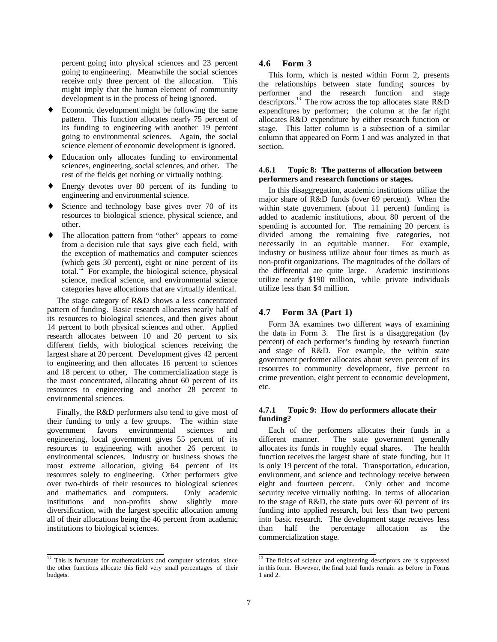<span id="page-9-0"></span>percent going into physical sciences and 23 percent going to engineering. Meanwhile the social sciences receive only three percent of the allocation. This might imply that the human element of community development is in the process of being ignored.

- Economic development might be following the same pattern. This function allocates nearly 75 percent of its funding to engineering with another 19 percent going to environmental sciences. Again, the social science element of economic development is ignored.
- ♦ Education only allocates funding to environmental sciences, engineering, social sciences, and other. The rest of the fields get nothing or virtually nothing.
- Energy devotes over 80 percent of its funding to engineering and environmental science.
- ♦ Science and technology base gives over 70 of its resources to biological science, physical science, and other.
- ♦ The allocation pattern from "other" appears to come from a decision rule that says give each field, with the exception of mathematics and computer sciences (which gets 30 percent), eight or nine percent of its total.<sup>12</sup> For example, the biological science, physical science, medical science, and environmental science categories have allocations that are virtually identical.

The stage category of R&D shows a less concentrated pattern of funding. Basic research allocates nearly half of its resources to biological sciences, and then gives about 14 percent to both physical sciences and other. Applied research allocates between 10 and 20 percent to six different fields, with biological sciences receiving the largest share at 20 percent. Development gives 42 percent to engineering and then allocates 16 percent to sciences and 18 percent to other, The commercialization stage is the most concentrated, allocating about 60 percent of its resources to engineering and another 28 percent to environmental sciences.

Finally, the R&D performers also tend to give most of their funding to only a few groups. The within state government favors environmental sciences and engineering, local government gives 55 percent of its resources to engineering with another 26 percent to environmental sciences. Industry or business shows the most extreme allocation, giving 64 percent of its resources solely to engineering. Other performers give over two-thirds of their resources to biological sciences and mathematics and computers. Only academic institutions and non-profits show slightly more diversification, with the largest specific allocation among all of their allocations being the 46 percent from academic institutions to biological sciences.

#### **4.6 Form 3**

This form, which is nested within Form 2, presents the relationships between state funding sources by performer and the research function and stage descriptors.<sup>13</sup> The row across the top allocates state  $R\&D$ expenditures by performer; the column at the far right allocates R&D expenditure by either research function or stage. This latter column is a subsection of a similar column that appeared on Form 1 and was analyzed in that section.

#### **4.6.1 Topic 8: The patterns of allocation between performers and research functions or stages.**

In this disaggregation, academic institutions utilize the major share of R&D funds (over 69 percent). When the within state government (about 11 percent) funding is added to academic institutions, about 80 percent of the spending is accounted for. The remaining 20 percent is divided among the remaining five categories, not necessarily in an equitable manner. For example, industry or business utilize about four times as much as non-profit organizations. The magnitudes of the dollars of the differential are quite large. Academic institutions utilize nearly \$190 million, while private individuals utilize less than \$4 million.

#### **4.7 Form 3A (Part 1)**

Form 3A examines two different ways of examining the data in Form 3. The first is a disaggregation (by percent) of each performer's funding by research function and stage of R&D. For example, the within state government performer allocates about seven percent of its resources to community development, five percent to crime prevention, eight percent to economic development, etc.

#### **4.7.1 Topic 9: How do performers allocate their funding?**

Each of the performers allocates their funds in a different manner. The state government generally allocates its funds in roughly equal shares. The health function receives the largest share of state funding, but it is only 19 percent of the total. Transportation, education, environment, and science and technology receive between eight and fourteen percent. Only other and income security receive virtually nothing. In terms of allocation to the stage of R&D, the state puts over 60 percent of its funding into applied research, but less than two percent into basic research. The development stage receives less than half the percentage allocation as the commercialization stage.

 $\frac{1}{12}$  This is fortunate for mathematicians and computer scientists, since the other functions allocate this field very small percentages of their budgets.

 $\frac{1}{13}$  The fields of science and engineering descriptors are is suppressed in this form. However, the final total funds remain as before in Forms 1 and 2.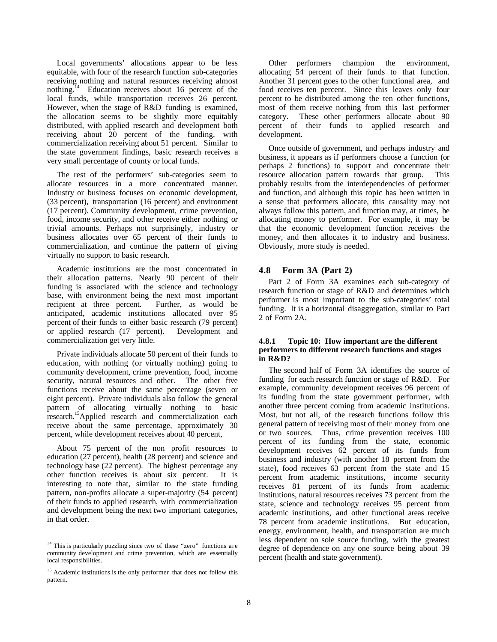Local governments' allocations appear to be less equitable, with four of the research function sub-categories receiving nothing and natural resources receiving almost nothing.<sup>14</sup> Education receives about 16 percent of the local funds, while transportation receives 26 percent. However, when the stage of R&D funding is examined, the allocation seems to be slightly more equitably distributed, with applied research and development both receiving about 20 percent of the funding, with commercialization receiving about 51 percent. Similar to the state government findings, basic research receives a very small percentage of county or local funds.

The rest of the performers' sub-categories seem to allocate resources in a more concentrated manner. Industry or business focuses on economic development, (33 percent), transportation (16 percent) and environment (17 percent). Community development, crime prevention, food, income security, and other receive either nothing or trivial amounts. Perhaps not surprisingly, industry or business allocates over 65 percent of their funds to commercialization, and continue the pattern of giving virtually no support to basic research.

Academic institutions are the most concentrated in their allocation patterns. Nearly 90 percent of their funding is associated with the science and technology base, with environment being the next most important recipient at three percent. Further, as would be anticipated, academic institutions allocated over 95 percent of their funds to either basic research (79 percent)<br>or applied research (17 percent). Development and or applied research  $(17$  percent). commercialization get very little.

Private individuals allocate 50 percent of their funds to education, with nothing (or virtually nothing) going to community development, crime prevention, food, income security, natural resources and other. The other five functions receive about the same percentage (seven or eight percent). Private individuals also follow the general pattern of allocating virtually nothing to basic research.<sup>15</sup>Applied research and commercialization each receive about the same percentage, approximately 30 percent, while development receives about 40 percent,

About 75 percent of the non profit resources to education (27 percent), health (28 percent) and science and technology base (22 percent). The highest percentage any other function receives is about six percent. It is interesting to note that, similar to the state funding pattern, non-profits allocate a super-majority (54 percent) of their funds to applied research, with commercialization and development being the next two important categories, in that order.

Other performers champion the environment, allocating 54 percent of their funds to that function. Another 31 percent goes to the other functional area, and food receives ten percent. Since this leaves only four percent to be distributed among the ten other functions, most of them receive nothing from this last performer category. These other performers allocate about 90 percent of their funds to applied research and development.

Once outside of government, and perhaps industry and business, it appears as if performers choose a function (or perhaps 2 functions) to support and concentrate their resource allocation pattern towards that group. This probably results from the interdependencies of performer and function, and although this topic has been written in a sense that performers allocate, this causality may not always follow this pattern, and function may, at times, be allocating money to performer. For example, it may be that the economic development function receives the money, and then allocates it to industry and business. Obviously, more study is needed.

#### **4.8 Form 3A (Part 2)**

Part 2 of Form 3A examines each sub-category of research function or stage of R&D and determines which performer is most important to the sub-categories' total funding. It is a horizontal disaggregation, similar to Part 2 of Form 2A.

#### **4.8.1 Topic 10: How important are the different performers to different research functions and stages in R&D?**

The second half of Form 3A identifies the source of funding for each research function or stage of R&D. For example, community development receives 96 percent of its funding from the state government performer, with another three percent coming from academic institutions. Most, but not all, of the research functions follow this general pattern of receiving most of their money from one or two sources. Thus, crime prevention receives 100 percent of its funding from the state, economic development receives 62 percent of its funds from business and industry (with another 18 percent from the state), food receives 63 percent from the state and 15 percent from academic institutions, income security receives 81 percent of its funds from academic institutions, natural resources receives 73 percent from the state, science and technology receives 95 percent from academic institutions, and other functional areas receive 78 percent from academic institutions. But education, energy, environment, health, and transportation are much less dependent on sole source funding, with the greatest degree of dependence on any one source being about 39 percent (health and state government).

 $\frac{14}{14}$  This is particularly puzzling since two of these "zero" functions are community development and crime prevention, which are essentially local responsibilities.

<sup>&</sup>lt;sup>15</sup> Academic institutions is the only performer that does not follow this pattern.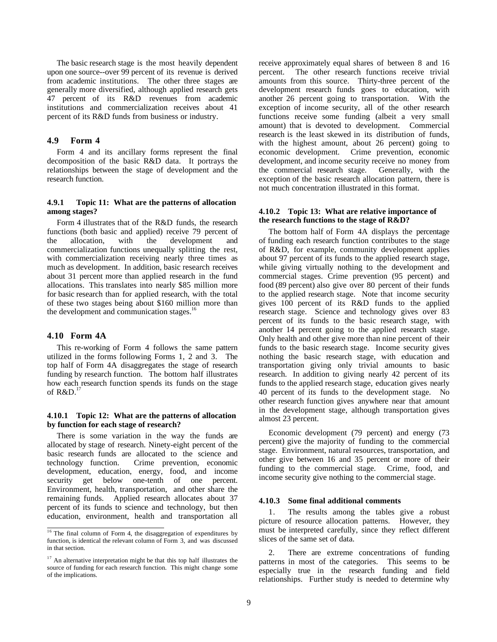<span id="page-11-0"></span>The basic research stage is the most heavily dependent upon one source--over 99 percent of its revenue is derived from academic institutions. The other three stages are generally more diversified, although applied research gets 47 percent of its R&D revenues from academic institutions and commercialization receives about 41 percent of its R&D funds from business or industry.

#### **4.9 Form 4**

Form 4 and its ancillary forms represent the final decomposition of the basic R&D data. It portrays the relationships between the stage of development and the research function.

#### **4.9.1 Topic 11: What are the patterns of allocation among stages?**

Form 4 illustrates that of the R&D funds, the research functions (both basic and applied) receive 79 percent of the allocation, with the development and commercialization functions unequally splitting the rest, with commercialization receiving nearly three times as much as development. In addition, basic research receives about 31 percent more than applied research in the fund allocations. This translates into nearly \$85 million more for basic research than for applied research, with the total of these two stages being about \$160 million more than the development and communication stages.<sup>16</sup>

#### **4.10 Form 4A**

This re-working of Form 4 follows the same pattern utilized in the forms following Forms 1, 2 and 3. The top half of Form 4A disaggregates the stage of research funding by research function. The bottom half illustrates how each research function spends its funds on the stage of  $R&D.<sup>17</sup>$ 

#### **4.10.1 Topic 12: What are the patterns of allocation by function for each stage of research?**

There is some variation in the way the funds are allocated by stage of research. Ninety-eight percent of the basic research funds are allocated to the science and technology function. Crime prevention, economic development, education, energy, food, and income security get below one-tenth of one percent. Environment, health, transportation, and other share the remaining funds. Applied research allocates about 37 percent of its funds to science and technology, but then education, environment, health and transportation all receive approximately equal shares of between 8 and 16 percent. The other research functions receive trivial amounts from this source. Thirty-three percent of the development research funds goes to education, with another 26 percent going to transportation. With the exception of income security, all of the other research functions receive some funding (albeit a very small amount) that is devoted to development. Commercial research is the least skewed in its distribution of funds, with the highest amount, about 26 percent) going to economic development. Crime prevention, economic development, and income security receive no money from the commercial research stage. Generally, with the exception of the basic research allocation pattern, there is not much concentration illustrated in this format.

#### **4.10.2 Topic 13: What are relative importance of the research functions to the stage of R&D?**

The bottom half of Form 4A displays the percentage of funding each research function contributes to the stage of R&D, for example, community development applies about 97 percent of its funds to the applied research stage, while giving virtually nothing to the development and commercial stages. Crime prevention (95 percent) and food (89 percent) also give over 80 percent of their funds to the applied research stage. Note that income security gives 100 percent of its R&D funds to the applied research stage. Science and technology gives over 83 percent of its funds to the basic research stage, with another 14 percent going to the applied research stage. Only health and other give more than nine percent of their funds to the basic research stage. Income security gives nothing the basic research stage, with education and transportation giving only trivial amounts to basic research. In addition to giving nearly 42 percent of its funds to the applied research stage, education gives nearly 40 percent of its funds to the development stage. No other research function gives anywhere near that amount in the development stage, although transportation gives almost 23 percent.

Economic development (79 percent) and energy (73 percent) give the majority of funding to the commercial stage. Environment, natural resources, transportation, and other give between 16 and 35 percent or more of their funding to the commercial stage. Crime, food, and income security give nothing to the commercial stage.

#### **4.10.3 Some final additional comments**

1. The results among the tables give a robust picture of resource allocation patterns. However, they must be interpreted carefully, since they reflect different slices of the same set of data.

2. There are extreme concentrations of funding patterns in most of the categories. This seems to be especially true in the research funding and field relationships. Further study is needed to determine why

 $\frac{16}{16}$  The final column of Form 4, the disaggregation of expenditures by function, is identical the relevant column of Form 3, and was discussed in that section.

 $17$  An alternative interpretation might be that this top half illustrates the source of funding for each research function. This might change some of the implications.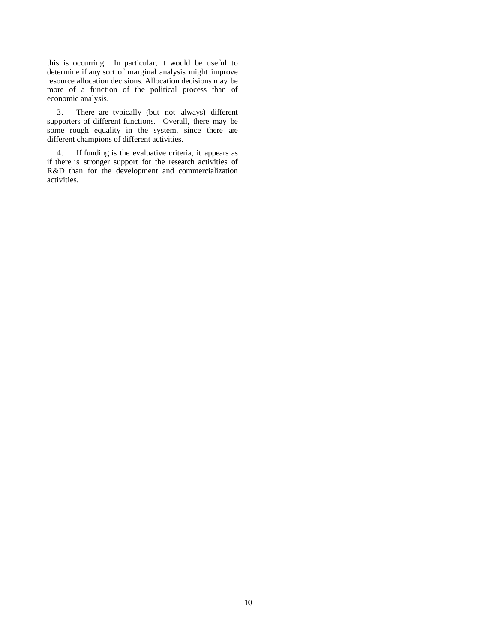this is occurring. In particular, it would be useful to determine if any sort of marginal analysis might improve resource allocation decisions. Allocation decisions may be more of a function of the political process than of economic analysis.

3. There are typically (but not always) different supporters of different functions. Overall, there may be some rough equality in the system, since there are different champions of different activities.

4. If funding is the evaluative criteria, it appears as if there is stronger support for the research activities of R&D than for the development and commercialization activities.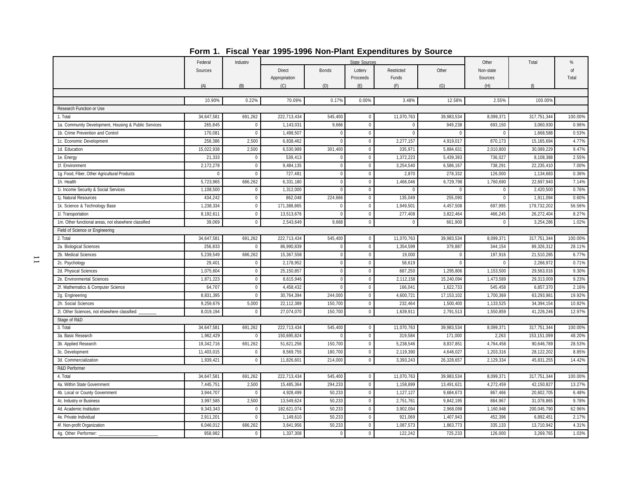|                                                      |            |              |                                |              |                     | ----------- |             | Other                | Total       | $\frac{0}{6}$ |
|------------------------------------------------------|------------|--------------|--------------------------------|--------------|---------------------|-------------|-------------|----------------------|-------------|---------------|
|                                                      | Federal    | Industry     |                                |              | State Sources       | Restricted  | Other       |                      |             | nf            |
|                                                      | Sources    |              | <b>Direct</b><br>Appropriation | <b>Bonds</b> | Lotterv<br>Proceeds | Funds       |             | Non-state<br>Sources |             | Total         |
|                                                      | (A)        | (B)          | (C)                            | (D)          | (E)                 | (F)         | (G)         | (H)                  | $\sqrt{n}$  |               |
|                                                      |            |              |                                |              |                     |             |             |                      |             |               |
|                                                      | 10.90%     | 0.22%        | 70.09%                         | 0.17%        | 0.00%               | 3.48%       | 12.58%      | 2.55%                | 100.00%     |               |
| Research Function or Use                             |            |              |                                |              |                     |             |             |                      |             |               |
| 1. Total                                             | 34,647,581 | 691,262      | 222,713,434                    | 545,400      | $\mathsf 0$         | 11,070,763  | 39,983,534  | 8,099,371            | 317,751,344 | 100.00%       |
| 1a. Community Development, Housing & Public Services | 265,845    | $\mathbf 0$  | 1,143,031                      | 9,666        | $\mathbf 0$         | $\Omega$    | 949,238     | 693,150              | 3,060,930   | 0.96%         |
| 1b. Crime Prevention and Control                     | 170.081    | $\Omega$     | 1,498,507                      | $\Omega$     | $\mathbf 0$         | $\Omega$    | $\Omega$    | $\Omega$             | 1,668,588   | 0.53%         |
| 1c. Economic Development                             | 258,386    | 2,500        | 6,838,462                      | $\Omega$     | $\mathsf 0$         | 2,277,157   | 4,919,017   | 870,173              | 15,165,694  | 4.77%         |
| 1d. Education                                        | 15,022,938 | 2,500        | 6,530,989                      | 301,400      | $\mathbf 0$         | 335,971     | 5,884,631   | 2,010,800            | 30,089,229  | 9.47%         |
| 1e. Energy                                           | 21,333     | $\mathbf 0$  | 539.413                        | $^{\circ}$   | $\mathbf{0}$        | 1,372,223   | 5.439.393   | 736.027              | 8,108,388   | 2.55%         |
| 1f. Environment                                      | 2,172,278  | $\mathbf 0$  | 9,484,135                      | $\mathbf{0}$ | $\mathsf 0$         | 3,254,540   | 6,586,167   | 738,291              | 22,235,410  | 7.00%         |
| 1g. Food, Fiber, Other Agricultural Products         | $\Omega$   | $\mathbf 0$  | 727,481                        | $\pmb{0}$    | $\mathbb O$         | 2,870       | 278,332     | 126,000              | 1,134,683   | 0.36%         |
| 1h. Health                                           | 5,723,965  | 686,262      | 6,331,180                      | $\Omega$     | $\mathsf 0$         | 1,466,046   | 6,729,798   | 1,760,690            | 22,697,940  | 7.14%         |
| 1i. Income Security & Social Services                | 1,108,500  | $\mathbf 0$  | 1,312,000                      | $\Omega$     | $\mathbf 0$         | $\Omega$    | $\Omega$    | $\Omega$             | 2.420.500   | 0.76%         |
| 1j. Natural Resources                                | 434,242    | $\mathbf 0$  | 862,048                        | 224,666      | $\mathbf 0$         | 135,049     | 255,090     | $\mathbf 0$          | 1,911,094   | 0.60%         |
| 1k. Science & Technology Base                        | 1,238,334  | $\mathbf 0$  | 171,388,865                    | $\mathbf 0$  | $\mathbf{0}$        | 1,949,501   | 4,457,508   | 697,995              | 179,732,202 | 56.56%        |
| 11. Transportation                                   | 8,192,611  | $\mathbf 0$  | 13,513,676                     | $\Omega$     | $\mathsf 0$         | 277,408     | 3,822,464   | 466,245              | 26,272,404  | 8.27%         |
| 1m. Other functional areas, not elsewhere classified | 39,069     | $\mathbf{0}$ | 2,543,649                      | 9,668        | $\pmb{0}$           | $\Omega$    | 661,900     | $\Omega$             | 3,254,286   | 1.02%         |
| Field of Science or Engineering                      |            |              |                                |              |                     |             |             |                      |             |               |
| 2. Total                                             | 34,647,581 | 691,262      | 222,713,434                    | 545,400      | $\mathbf 0$         | 11,070,763  | 39,983,534  | 8,099,371            | 317,751,344 | 100.00%       |
| 2a. Biological Sciences                              | 256,833    | $\theta$     | 86,990,839                     | $\mathbf 0$  | $\mathbf{0}$        | 1,354,599   | 379,887     | 344,154              | 89.326.312  | 28.11%        |
| 2b. Medical Sciences                                 | 5,239,549  | 686,262      | 15,367,558                     | $\mathbb O$  | $\mathbf 0$         | 19,000      | $\Omega$    | 197,916              | 21,510,285  | 6.77%         |
| 2c. Psychology                                       | 29,401     | $\mathbf 0$  | 2,178,952                      | $\mathbf{0}$ | $\mathbf{0}$        | 58,619      | $\mathbf 0$ | $\mathbf{0}$         | 2,266,972   | 0.71%         |
| 2d. Physical Sciences                                | 1,075,604  | $\mathbf{0}$ | 25,150,857                     | $\mathbf{0}$ | $\mathsf 0$         | 887,250     | 1,295,806   | 1,153,500            | 29,563,016  | 9.30%         |
| 2e. Environmental Sciences                           | 1,871,223  | $\mathbf 0$  | 8,615,946                      | $\mathbf{0}$ | $\mathbb O$         | 2,112,158   | 15,240,094  | 1,473,589            | 29,313,009  | 9.23%         |
| 2f. Mathematics & Computer Science                   | 64,707     | $\pmb{0}$    | 4,458,432                      | $\mathbf{0}$ | $\mathbf 0$         | 166,041     | 1,622,733   | 545,458              | 6,857,370   | 2.16%         |
| 2g. Engineering                                      | 8,831,395  | $\mathbf{0}$ | 30,764,394                     | 244,000      | $\mathbf 0$         | 4,600,721   | 17,153,102  | 1,700,369            | 63,293,981  | 19.92%        |
| 2h. Social Sciences                                  | 9,259,676  | 5,000        | 22,112,389                     | 150,700      | $\mathbb O$         | 232,464     | 1,500,400   | 1,133,525            | 34,394,154  | 10.82%        |
| 2i. Other Sciences, not elsewhere classified:        | 8,019,194  | $\mathbf 0$  | 27,074,070                     | 150,700      | $\mathbf 0$         | 1,639,911   | 2,791,513   | 1,550,859            | 41,226,246  | 12.97%        |
| Stage of R&D                                         |            |              |                                |              |                     |             |             |                      |             |               |
| 3. Total                                             | 34,647,581 | 691,262      | 222,713,434                    | 545,400      | $\mathsf 0$         | 11,070,763  | 39,983,534  | 8.099.371            | 317,751,344 | 100.00%       |
| 3a. Basic Research                                   | 1,962,429  | $\mathbf 0$  | 150,695,824                    | $\mathbf 0$  | $\mathbf 0$         | 319,584     | 171,000     | 2,263                | 153,151,099 | 48.20%        |
| 3b. Applied Research                                 | 19,342,716 | 691,262      | 51,621,256                     | 150,700      | $\mathsf 0$         | 5,238,546   | 8,837,851   | 4,764,458            | 90,646,789  | 28.53%        |
| 3c. Development                                      | 11,403,015 | $\mathbf 0$  | 8,569,755                      | 180,700      | $\mathbf 0$         | 2,119,390   | 4,646,027   | 1,203,316            | 28,122,202  | 8.85%         |
| 3d. Commercialization                                | 1,939,421  | $\mathbf 0$  | 11,826,601                     | 214,000      | $\mathsf 0$         | 3,393,243   | 26,328,657  | 2,129,334            | 45,831,255  | 14.42%        |
| R&D Performer                                        |            |              |                                |              |                     |             |             |                      |             |               |
| 4. Total                                             | 34,647,581 | 691,262      | 222,713,434                    | 545,400      | $\mathsf 0$         | 11,070,763  | 39,983,534  | 8,099,371            | 317,751,344 | 100.00%       |
| 4a. Within State Government                          | 7,445,751  | 2,500        | 15,485,364                     | 294,233      | $\mathbf 0$         | 1,158,899   | 13,491,621  | 4,272,459            | 42,150,827  | 13.27%        |
| 4b. Local or County Government                       | 3,944,707  | 0            | 4,928,499                      | 50,233       | $\mathbf 0$         | 1,127,127   | 9,684,673   | 867,466              | 20,602,705  | 6.48%         |
| 4c. Industry or Business                             | 3,997,585  | 2,500        | 13,549,624                     | 50,233       | $\mathbf{0}$        | 2,751,761   | 9,842,195   | 884,967              | 31,078,865  | 9.78%         |
| 4d. Academic Institution                             | 9,343,343  | $\mathbf 0$  | 182,621,074                    | 50,233       | $\mathbf 0$         | 3,902,094   | 2,968,098   | 1,160,948            | 200,045,790 | 62.96%        |
| 4e. Private Individual                               | 2,911,201  | $\mathbf 0$  | 1,149,610                      | 50,233       | $\mathsf 0$         | 921,069     | 1,407,943   | 452,396              | 6,892,451   | 2.17%         |
| 4f. Non-profit Organization                          | 6,046,012  | 686,262      | 3,641,956                      | 50,233       | $\mathbf 0$         | 1,087,573   | 1,863,773   | 335,133              | 13,710,942  | 4.31%         |
| 4g. Other Performer:                                 | 958,982    | $\mathbf{0}$ | 1,337,308                      | $\mathsf 0$  | $\mathbf 0$         | 122,242     | 725,233     | 126,000              | 3,269,765   | 1.03%         |

**Form 1. Fiscal Year 1995-1996 Non-Plant Expenditures by Source**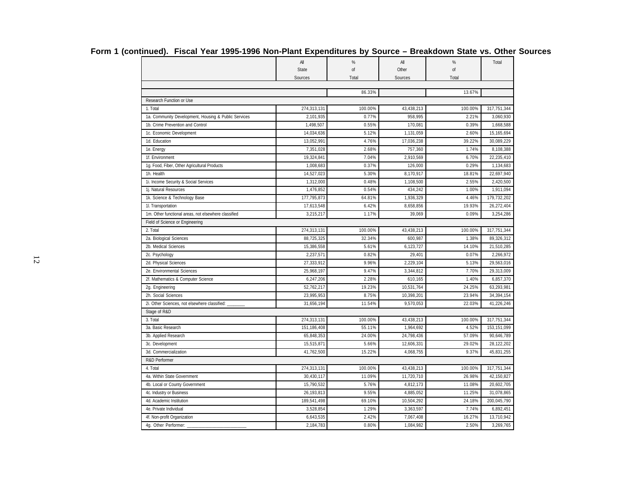|                                                      | All         | $\frac{9}{6}$ | All        | $\frac{9}{6}$ | Total       |
|------------------------------------------------------|-------------|---------------|------------|---------------|-------------|
|                                                      | State       | of            | Other      | of            |             |
|                                                      | Sources     | Total         | Sources    | Total         |             |
|                                                      |             | 86.33%        |            | 13.67%        |             |
| Research Function or Use                             |             |               |            |               |             |
| 1. Total                                             | 274,313,131 | 100.00%       | 43,438,213 | 100.00%       | 317,751,344 |
| 1a. Community Development, Housing & Public Services | 2,101,935   | 0.77%         | 958,995    | 2.21%         | 3,060,930   |
| 1b. Crime Prevention and Control                     | 1,498,507   | 0.55%         | 170,081    | 0.39%         | 1,668,588   |
| 1c. Economic Development                             | 14,034,636  | 5.12%         | 1,131,059  | 2.60%         | 15,165,694  |
| 1d. Education                                        | 13,052,991  | 4.76%         | 17,036,238 | 39.22%        | 30,089,229  |
| 1e. Energy                                           | 7,351,028   | 2.68%         | 757,360    | 1.74%         | 8,108,388   |
| 1f. Environment                                      | 19,324,841  | 7.04%         | 2,910,569  | 6.70%         | 22,235,410  |
| 1g. Food, Fiber, Other Agricultural Products         | 1,008,683   | 0.37%         | 126,000    | 0.29%         | 1,134,683   |
| 1h. Health                                           | 14,527,023  | 5.30%         | 8,170,917  | 18.81%        | 22,697,940  |
| 1i. Income Security & Social Services                | 1,312,000   | 0.48%         | 1,108,500  | 2.55%         | 2,420,500   |
| 1j. Natural Resources                                | 1,476,852   | 0.54%         | 434,242    | 1.00%         | 1,911,094   |
| 1k. Science & Technology Base                        | 177,795,873 | 64.81%        | 1,936,329  | 4.46%         | 179,732,202 |
| 1l. Transportation                                   | 17,613,548  | 6.42%         | 8,658,856  | 19.93%        | 26,272,404  |
| 1m. Other functional areas, not elsewhere classified | 3,215,217   | 1.17%         | 39,069     | 0.09%         | 3,254,286   |
| Field of Science or Engineering                      |             |               |            |               |             |
| 2. Total                                             | 274,313,131 | 100.00%       | 43,438,213 | 100.00%       | 317,751,344 |
| 2a. Biological Sciences                              | 88,725,325  | 32.34%        | 600,987    | 1.38%         | 89,326,312  |
| 2b. Medical Sciences                                 | 15,386,558  | 5.61%         | 6,123,727  | 14.10%        | 21,510,285  |
| 2c. Psychology                                       | 2,237,571   | 0.82%         | 29,401     | 0.07%         | 2,266,972   |
| 2d. Physical Sciences                                | 27,333,912  | 9.96%         | 2,229,104  | 5.13%         | 29,563,016  |
| 2e. Environmental Sciences                           | 25,968,197  | 9.47%         | 3,344,812  | 7.70%         | 29,313,009  |
| 2f. Mathematics & Computer Science                   | 6,247,206   | 2.28%         | 610,165    | 1.40%         | 6,857,370   |
| 2g. Engineering                                      | 52,762,217  | 19.23%        | 10,531,764 | 24.25%        | 63,293,981  |
| 2h. Social Sciences                                  | 23,995,953  | 8.75%         | 10,398,201 | 23.94%        | 34,394,154  |
| 2i. Other Sciences, not elsewhere classified:        | 31,656,194  | 11.54%        | 9,570,053  | 22.03%        | 41,226,246  |
| Stage of R&D                                         |             |               |            |               |             |
| 3. Total                                             | 274,313,131 | 100.00%       | 43,438,213 | 100.00%       | 317,751,344 |
| 3a. Basic Research                                   | 151,186,408 | 55.11%        | 1,964,692  | 4.52%         | 153,151,099 |
| 3b. Applied Research                                 | 65,848,353  | 24.00%        | 24,798,436 | 57.09%        | 90,646,789  |
| 3c. Development                                      | 15,515,871  | 5.66%         | 12,606,331 | 29.02%        | 28,122,202  |
| 3d. Commercialization                                | 41,762,500  | 15.22%        | 4,068,755  | 9.37%         | 45,831,255  |
| R&D Performer                                        |             |               |            |               |             |
| 4. Total                                             | 274,313,131 | 100.00%       | 43,438,213 | 100.00%       | 317,751,344 |
| 4a. Within State Government                          | 30,430,117  | 11.09%        | 11,720,710 | 26.98%        | 42,150,827  |
| 4b. Local or County Government                       | 15,790,532  | 5.76%         | 4,812,173  | 11.08%        | 20,602,705  |
| 4c. Industry or Business                             | 26,193,813  | 9.55%         | 4,885,052  | 11.25%        | 31,078,865  |
| 4d. Academic Institution                             | 189,541,498 | 69.10%        | 10,504,292 | 24.18%        | 200,045,790 |
| 4e. Private Individual                               | 3,528,854   | 1.29%         | 3,363,597  | 7.74%         | 6,892,451   |
| 4f. Non-profit Organization                          | 6,643,535   | 2.42%         | 7,067,408  | 16.27%        | 13,710,942  |
| 4g. Other Performer:                                 | 2,184,783   | 0.80%         | 1,084,982  | 2.50%         | 3,269,765   |

# **Form 1 (continued). Fiscal Year 1995-1996 Non-Plant Expenditures by Source – Breakdown State vs. Other Sources**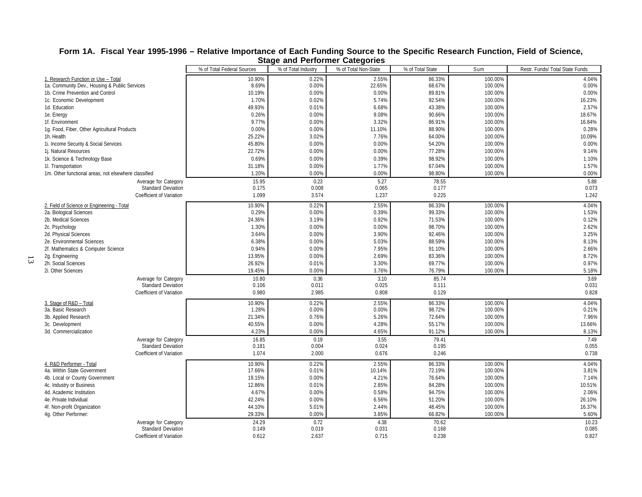| % of Total State<br>% of Total Federal Sources<br>% of Total Industry<br>% of Total Non-State<br>Sum<br>Restr. Funds/ Total State Funds<br>4.04%<br>10.90%<br>0.22%<br>86.33%<br>100.00%<br>2.55%<br>1. Research Function or Use - Total<br>8.69%<br>22.65%<br>68.67%<br>0.00%<br>1a. Community Dev., Housing & Public Services<br>0.00%<br>100.00%<br>0.00%<br>1b. Crime Prevention and Control<br>10.19%<br>0.00%<br>0.00%<br>89.81%<br>100.00%<br>1.70%<br>0.02%<br>5.74%<br>92.54%<br>100.00%<br>16.23%<br>1c. Economic Development<br>2.57%<br>49.93%<br>6.68%<br>43.38%<br>100.00%<br>1d. Education<br>0.01%<br>18.67%<br>0.26%<br>0.00%<br>9.08%<br>90.66%<br>100.00%<br>1e. Energy<br>9.77%<br>3.32%<br>86.91%<br>100.00%<br>16.84%<br>1f. Environment<br>0.00%<br>11.10%<br>100.00%<br>0.28%<br>1g. Food, Fiber, Other Agricultural Products<br>0.00%<br>0.00%<br>88.90%<br>3.02%<br>7.76%<br>100.00%<br>10.09%<br>1h. Health<br>25.22%<br>64.00%<br>45.80%<br>0.00%<br>0.00%<br>54.20%<br>100.00%<br>0.00%<br>1i. Income Security & Social Services<br>9.14%<br>1j. Natural Resources<br>22.72%<br>0.00%<br>0.00%<br>77.28%<br>100.00%<br>1k. Science & Technology Base<br>0.69%<br>0.00%<br>0.39%<br>98.92%<br>100.00%<br>1.10%<br>0.00%<br>1.77%<br>67.04%<br>100.00%<br>1.57%<br>11. Transportation<br>31.18%<br>0.00%<br>0.00%<br>98.80%<br>$0.00\%$<br>1m. Other functional areas, not elsewhere classified<br>1.20%<br>100.00%<br>5.27<br>15.95<br>0.23<br>78.55<br>5.88<br>Average for Category<br>0.065<br>0.073<br><b>Standard Deviation</b><br>0.175<br>0.008<br>0.177<br>1.242<br>Coefficient of Variation<br>1.099<br>3.574<br>1.237<br>0.225<br>0.22%<br>2.55%<br>86.33%<br>100.00%<br>4.04%<br>2. Field of Science or Engineering - Total<br>10.90%<br>0.29%<br>0.00%<br>0.39%<br>99.33%<br>100.00%<br>1.53%<br>2a. Biological Sciences<br>24.36%<br>0.92%<br>71.53%<br>0.12%<br>2b. Medical Sciences<br>3.19%<br>100.00%<br>2c. Psychology<br>1.30%<br>0.00%<br>0.00%<br>98.70%<br>100.00%<br>2.62%<br>3.25%<br>3.64%<br>0.00%<br>3.90%<br>92.46%<br>100.00%<br>2d. Physical Sciences<br>6.38%<br>0.00%<br>5.03%<br>88.59%<br>100.00%<br>8.13%<br>2e. Environmental Sciences<br>0.94%<br>7.95%<br>100.00%<br>2.66%<br>2f. Mathematics & Computer Science<br>0.00%<br>91.10%<br>2.69%<br>83.36%<br>100.00%<br>8.72%<br>2g. Engineering<br>13.95%<br>0.00%<br>0.97%<br>2h. Social Sciences<br>26.92%<br>3.30%<br>100.00%<br>0.01%<br>69.77%<br>2i. Other Sciences<br>3.76%<br>5.18%<br>19.45%<br>0.00%<br>76.79%<br>100.00%<br>10.80<br>0.36<br>3.10<br>85.74<br>3.69<br>Average for Category<br><b>Standard Deviation</b><br>0.106<br>0.011<br>0.025<br>0.111<br>0.031<br>Coefficient of Variation<br>0.980<br>2.985<br>0.808<br>0.129<br>0.828<br>3. Stage of R&D - Total<br>10.90%<br>0.22%<br>2.55%<br>86.33%<br>100.00%<br>4.04%<br>0.21%<br>3a. Basic Research<br>1.28%<br>0.00%<br>0.00%<br>98.72%<br>100.00%<br>3b. Applied Research<br>21.34%<br>0.76%<br>5.26%<br>72.64%<br>100.00%<br>7.96%<br>13.66%<br>3c. Development<br>40.55%<br>4.28%<br>55.17%<br>100.00%<br>0.00%<br>3d. Commercialization<br>4.23%<br>0.00%<br>4.65%<br>91.12%<br>100.00%<br>8.13%<br>3.55<br>7.49<br>16.85<br>0.19<br>79.41<br>Average for Category<br><b>Standard Deviation</b><br>0.055<br>0.181<br>0.004<br>0.024<br>0.195<br>1.074<br>2.000<br>0.676<br>0.246<br>0.738<br>Coefficient of Variation<br>4.04%<br>10.90%<br>0.22%<br>2.55%<br>86.33%<br>100.00%<br>4. R&D Performer - Total<br>3.81%<br>17.66%<br>10.14%<br>72.19%<br>100.00%<br>4a. Within State Government<br>0.01%<br>19.15%<br>0.00%<br>4.21%<br>76.64%<br>100.00%<br>7.14%<br>4b. Local or County Government<br>2.85%<br>10.51%<br>12.86%<br>0.01%<br>84.28%<br>100.00%<br>4c. Industry or Business<br>4.67%<br>0.00%<br>0.58%<br>94.75%<br>100.00%<br>2.06%<br>4d. Academic Institution<br>4e. Private Individual<br>6.56%<br>100.00%<br>26.10%<br>42.24%<br>0.00%<br>51.20%<br>16.37%<br>2.44%<br>48.45%<br>100.00%<br>4f. Non-profit Organization<br>44.10%<br>5.01%<br>29.33%<br>0.00%<br>3.85%<br>66.82%<br>100.00%<br>5.60%<br>4g. Other Performer:<br>4.38<br>24.29<br>0.72<br>70.62<br>10.23<br>Average for Category<br><b>Standard Deviation</b><br>0.149<br>0.019<br>0.031<br>0.168<br>0.085<br>0.827<br>0.612<br>2.637<br>0.715<br>0.238<br>Coefficient of Variation |  | əlaye anu renomier caleyones |  |  |
|-------------------------------------------------------------------------------------------------------------------------------------------------------------------------------------------------------------------------------------------------------------------------------------------------------------------------------------------------------------------------------------------------------------------------------------------------------------------------------------------------------------------------------------------------------------------------------------------------------------------------------------------------------------------------------------------------------------------------------------------------------------------------------------------------------------------------------------------------------------------------------------------------------------------------------------------------------------------------------------------------------------------------------------------------------------------------------------------------------------------------------------------------------------------------------------------------------------------------------------------------------------------------------------------------------------------------------------------------------------------------------------------------------------------------------------------------------------------------------------------------------------------------------------------------------------------------------------------------------------------------------------------------------------------------------------------------------------------------------------------------------------------------------------------------------------------------------------------------------------------------------------------------------------------------------------------------------------------------------------------------------------------------------------------------------------------------------------------------------------------------------------------------------------------------------------------------------------------------------------------------------------------------------------------------------------------------------------------------------------------------------------------------------------------------------------------------------------------------------------------------------------------------------------------------------------------------------------------------------------------------------------------------------------------------------------------------------------------------------------------------------------------------------------------------------------------------------------------------------------------------------------------------------------------------------------------------------------------------------------------------------------------------------------------------------------------------------------------------------------------------------------------------------------------------------------------------------------------------------------------------------------------------------------------------------------------------------------------------------------------------------------------------------------------------------------------------------------------------------------------------------------------------------------------------------------------------------------------------------------------------------------------------------------------------------------------------------------------------------------------------------------------------------------------------------------------------------------------------------------------------------------------------------------------------------------------------------------------------------------------------------------------------------------------------------------------------------------------------------------------------------------------------------------------------------------------------------------------------------------------------------------------------------------------------------------------------------------------------------------------|--|------------------------------|--|--|
|                                                                                                                                                                                                                                                                                                                                                                                                                                                                                                                                                                                                                                                                                                                                                                                                                                                                                                                                                                                                                                                                                                                                                                                                                                                                                                                                                                                                                                                                                                                                                                                                                                                                                                                                                                                                                                                                                                                                                                                                                                                                                                                                                                                                                                                                                                                                                                                                                                                                                                                                                                                                                                                                                                                                                                                                                                                                                                                                                                                                                                                                                                                                                                                                                                                                                                                                                                                                                                                                                                                                                                                                                                                                                                                                                                                                                                                                                                                                                                                                                                                                                                                                                                                                                                                                                                                                                                   |  |                              |  |  |
|                                                                                                                                                                                                                                                                                                                                                                                                                                                                                                                                                                                                                                                                                                                                                                                                                                                                                                                                                                                                                                                                                                                                                                                                                                                                                                                                                                                                                                                                                                                                                                                                                                                                                                                                                                                                                                                                                                                                                                                                                                                                                                                                                                                                                                                                                                                                                                                                                                                                                                                                                                                                                                                                                                                                                                                                                                                                                                                                                                                                                                                                                                                                                                                                                                                                                                                                                                                                                                                                                                                                                                                                                                                                                                                                                                                                                                                                                                                                                                                                                                                                                                                                                                                                                                                                                                                                                                   |  |                              |  |  |
|                                                                                                                                                                                                                                                                                                                                                                                                                                                                                                                                                                                                                                                                                                                                                                                                                                                                                                                                                                                                                                                                                                                                                                                                                                                                                                                                                                                                                                                                                                                                                                                                                                                                                                                                                                                                                                                                                                                                                                                                                                                                                                                                                                                                                                                                                                                                                                                                                                                                                                                                                                                                                                                                                                                                                                                                                                                                                                                                                                                                                                                                                                                                                                                                                                                                                                                                                                                                                                                                                                                                                                                                                                                                                                                                                                                                                                                                                                                                                                                                                                                                                                                                                                                                                                                                                                                                                                   |  |                              |  |  |
|                                                                                                                                                                                                                                                                                                                                                                                                                                                                                                                                                                                                                                                                                                                                                                                                                                                                                                                                                                                                                                                                                                                                                                                                                                                                                                                                                                                                                                                                                                                                                                                                                                                                                                                                                                                                                                                                                                                                                                                                                                                                                                                                                                                                                                                                                                                                                                                                                                                                                                                                                                                                                                                                                                                                                                                                                                                                                                                                                                                                                                                                                                                                                                                                                                                                                                                                                                                                                                                                                                                                                                                                                                                                                                                                                                                                                                                                                                                                                                                                                                                                                                                                                                                                                                                                                                                                                                   |  |                              |  |  |
|                                                                                                                                                                                                                                                                                                                                                                                                                                                                                                                                                                                                                                                                                                                                                                                                                                                                                                                                                                                                                                                                                                                                                                                                                                                                                                                                                                                                                                                                                                                                                                                                                                                                                                                                                                                                                                                                                                                                                                                                                                                                                                                                                                                                                                                                                                                                                                                                                                                                                                                                                                                                                                                                                                                                                                                                                                                                                                                                                                                                                                                                                                                                                                                                                                                                                                                                                                                                                                                                                                                                                                                                                                                                                                                                                                                                                                                                                                                                                                                                                                                                                                                                                                                                                                                                                                                                                                   |  |                              |  |  |
|                                                                                                                                                                                                                                                                                                                                                                                                                                                                                                                                                                                                                                                                                                                                                                                                                                                                                                                                                                                                                                                                                                                                                                                                                                                                                                                                                                                                                                                                                                                                                                                                                                                                                                                                                                                                                                                                                                                                                                                                                                                                                                                                                                                                                                                                                                                                                                                                                                                                                                                                                                                                                                                                                                                                                                                                                                                                                                                                                                                                                                                                                                                                                                                                                                                                                                                                                                                                                                                                                                                                                                                                                                                                                                                                                                                                                                                                                                                                                                                                                                                                                                                                                                                                                                                                                                                                                                   |  |                              |  |  |
|                                                                                                                                                                                                                                                                                                                                                                                                                                                                                                                                                                                                                                                                                                                                                                                                                                                                                                                                                                                                                                                                                                                                                                                                                                                                                                                                                                                                                                                                                                                                                                                                                                                                                                                                                                                                                                                                                                                                                                                                                                                                                                                                                                                                                                                                                                                                                                                                                                                                                                                                                                                                                                                                                                                                                                                                                                                                                                                                                                                                                                                                                                                                                                                                                                                                                                                                                                                                                                                                                                                                                                                                                                                                                                                                                                                                                                                                                                                                                                                                                                                                                                                                                                                                                                                                                                                                                                   |  |                              |  |  |
|                                                                                                                                                                                                                                                                                                                                                                                                                                                                                                                                                                                                                                                                                                                                                                                                                                                                                                                                                                                                                                                                                                                                                                                                                                                                                                                                                                                                                                                                                                                                                                                                                                                                                                                                                                                                                                                                                                                                                                                                                                                                                                                                                                                                                                                                                                                                                                                                                                                                                                                                                                                                                                                                                                                                                                                                                                                                                                                                                                                                                                                                                                                                                                                                                                                                                                                                                                                                                                                                                                                                                                                                                                                                                                                                                                                                                                                                                                                                                                                                                                                                                                                                                                                                                                                                                                                                                                   |  |                              |  |  |
|                                                                                                                                                                                                                                                                                                                                                                                                                                                                                                                                                                                                                                                                                                                                                                                                                                                                                                                                                                                                                                                                                                                                                                                                                                                                                                                                                                                                                                                                                                                                                                                                                                                                                                                                                                                                                                                                                                                                                                                                                                                                                                                                                                                                                                                                                                                                                                                                                                                                                                                                                                                                                                                                                                                                                                                                                                                                                                                                                                                                                                                                                                                                                                                                                                                                                                                                                                                                                                                                                                                                                                                                                                                                                                                                                                                                                                                                                                                                                                                                                                                                                                                                                                                                                                                                                                                                                                   |  |                              |  |  |
|                                                                                                                                                                                                                                                                                                                                                                                                                                                                                                                                                                                                                                                                                                                                                                                                                                                                                                                                                                                                                                                                                                                                                                                                                                                                                                                                                                                                                                                                                                                                                                                                                                                                                                                                                                                                                                                                                                                                                                                                                                                                                                                                                                                                                                                                                                                                                                                                                                                                                                                                                                                                                                                                                                                                                                                                                                                                                                                                                                                                                                                                                                                                                                                                                                                                                                                                                                                                                                                                                                                                                                                                                                                                                                                                                                                                                                                                                                                                                                                                                                                                                                                                                                                                                                                                                                                                                                   |  |                              |  |  |
|                                                                                                                                                                                                                                                                                                                                                                                                                                                                                                                                                                                                                                                                                                                                                                                                                                                                                                                                                                                                                                                                                                                                                                                                                                                                                                                                                                                                                                                                                                                                                                                                                                                                                                                                                                                                                                                                                                                                                                                                                                                                                                                                                                                                                                                                                                                                                                                                                                                                                                                                                                                                                                                                                                                                                                                                                                                                                                                                                                                                                                                                                                                                                                                                                                                                                                                                                                                                                                                                                                                                                                                                                                                                                                                                                                                                                                                                                                                                                                                                                                                                                                                                                                                                                                                                                                                                                                   |  |                              |  |  |
|                                                                                                                                                                                                                                                                                                                                                                                                                                                                                                                                                                                                                                                                                                                                                                                                                                                                                                                                                                                                                                                                                                                                                                                                                                                                                                                                                                                                                                                                                                                                                                                                                                                                                                                                                                                                                                                                                                                                                                                                                                                                                                                                                                                                                                                                                                                                                                                                                                                                                                                                                                                                                                                                                                                                                                                                                                                                                                                                                                                                                                                                                                                                                                                                                                                                                                                                                                                                                                                                                                                                                                                                                                                                                                                                                                                                                                                                                                                                                                                                                                                                                                                                                                                                                                                                                                                                                                   |  |                              |  |  |
|                                                                                                                                                                                                                                                                                                                                                                                                                                                                                                                                                                                                                                                                                                                                                                                                                                                                                                                                                                                                                                                                                                                                                                                                                                                                                                                                                                                                                                                                                                                                                                                                                                                                                                                                                                                                                                                                                                                                                                                                                                                                                                                                                                                                                                                                                                                                                                                                                                                                                                                                                                                                                                                                                                                                                                                                                                                                                                                                                                                                                                                                                                                                                                                                                                                                                                                                                                                                                                                                                                                                                                                                                                                                                                                                                                                                                                                                                                                                                                                                                                                                                                                                                                                                                                                                                                                                                                   |  |                              |  |  |
|                                                                                                                                                                                                                                                                                                                                                                                                                                                                                                                                                                                                                                                                                                                                                                                                                                                                                                                                                                                                                                                                                                                                                                                                                                                                                                                                                                                                                                                                                                                                                                                                                                                                                                                                                                                                                                                                                                                                                                                                                                                                                                                                                                                                                                                                                                                                                                                                                                                                                                                                                                                                                                                                                                                                                                                                                                                                                                                                                                                                                                                                                                                                                                                                                                                                                                                                                                                                                                                                                                                                                                                                                                                                                                                                                                                                                                                                                                                                                                                                                                                                                                                                                                                                                                                                                                                                                                   |  |                              |  |  |
|                                                                                                                                                                                                                                                                                                                                                                                                                                                                                                                                                                                                                                                                                                                                                                                                                                                                                                                                                                                                                                                                                                                                                                                                                                                                                                                                                                                                                                                                                                                                                                                                                                                                                                                                                                                                                                                                                                                                                                                                                                                                                                                                                                                                                                                                                                                                                                                                                                                                                                                                                                                                                                                                                                                                                                                                                                                                                                                                                                                                                                                                                                                                                                                                                                                                                                                                                                                                                                                                                                                                                                                                                                                                                                                                                                                                                                                                                                                                                                                                                                                                                                                                                                                                                                                                                                                                                                   |  |                              |  |  |
|                                                                                                                                                                                                                                                                                                                                                                                                                                                                                                                                                                                                                                                                                                                                                                                                                                                                                                                                                                                                                                                                                                                                                                                                                                                                                                                                                                                                                                                                                                                                                                                                                                                                                                                                                                                                                                                                                                                                                                                                                                                                                                                                                                                                                                                                                                                                                                                                                                                                                                                                                                                                                                                                                                                                                                                                                                                                                                                                                                                                                                                                                                                                                                                                                                                                                                                                                                                                                                                                                                                                                                                                                                                                                                                                                                                                                                                                                                                                                                                                                                                                                                                                                                                                                                                                                                                                                                   |  |                              |  |  |
|                                                                                                                                                                                                                                                                                                                                                                                                                                                                                                                                                                                                                                                                                                                                                                                                                                                                                                                                                                                                                                                                                                                                                                                                                                                                                                                                                                                                                                                                                                                                                                                                                                                                                                                                                                                                                                                                                                                                                                                                                                                                                                                                                                                                                                                                                                                                                                                                                                                                                                                                                                                                                                                                                                                                                                                                                                                                                                                                                                                                                                                                                                                                                                                                                                                                                                                                                                                                                                                                                                                                                                                                                                                                                                                                                                                                                                                                                                                                                                                                                                                                                                                                                                                                                                                                                                                                                                   |  |                              |  |  |
|                                                                                                                                                                                                                                                                                                                                                                                                                                                                                                                                                                                                                                                                                                                                                                                                                                                                                                                                                                                                                                                                                                                                                                                                                                                                                                                                                                                                                                                                                                                                                                                                                                                                                                                                                                                                                                                                                                                                                                                                                                                                                                                                                                                                                                                                                                                                                                                                                                                                                                                                                                                                                                                                                                                                                                                                                                                                                                                                                                                                                                                                                                                                                                                                                                                                                                                                                                                                                                                                                                                                                                                                                                                                                                                                                                                                                                                                                                                                                                                                                                                                                                                                                                                                                                                                                                                                                                   |  |                              |  |  |
|                                                                                                                                                                                                                                                                                                                                                                                                                                                                                                                                                                                                                                                                                                                                                                                                                                                                                                                                                                                                                                                                                                                                                                                                                                                                                                                                                                                                                                                                                                                                                                                                                                                                                                                                                                                                                                                                                                                                                                                                                                                                                                                                                                                                                                                                                                                                                                                                                                                                                                                                                                                                                                                                                                                                                                                                                                                                                                                                                                                                                                                                                                                                                                                                                                                                                                                                                                                                                                                                                                                                                                                                                                                                                                                                                                                                                                                                                                                                                                                                                                                                                                                                                                                                                                                                                                                                                                   |  |                              |  |  |
|                                                                                                                                                                                                                                                                                                                                                                                                                                                                                                                                                                                                                                                                                                                                                                                                                                                                                                                                                                                                                                                                                                                                                                                                                                                                                                                                                                                                                                                                                                                                                                                                                                                                                                                                                                                                                                                                                                                                                                                                                                                                                                                                                                                                                                                                                                                                                                                                                                                                                                                                                                                                                                                                                                                                                                                                                                                                                                                                                                                                                                                                                                                                                                                                                                                                                                                                                                                                                                                                                                                                                                                                                                                                                                                                                                                                                                                                                                                                                                                                                                                                                                                                                                                                                                                                                                                                                                   |  |                              |  |  |
|                                                                                                                                                                                                                                                                                                                                                                                                                                                                                                                                                                                                                                                                                                                                                                                                                                                                                                                                                                                                                                                                                                                                                                                                                                                                                                                                                                                                                                                                                                                                                                                                                                                                                                                                                                                                                                                                                                                                                                                                                                                                                                                                                                                                                                                                                                                                                                                                                                                                                                                                                                                                                                                                                                                                                                                                                                                                                                                                                                                                                                                                                                                                                                                                                                                                                                                                                                                                                                                                                                                                                                                                                                                                                                                                                                                                                                                                                                                                                                                                                                                                                                                                                                                                                                                                                                                                                                   |  |                              |  |  |
|                                                                                                                                                                                                                                                                                                                                                                                                                                                                                                                                                                                                                                                                                                                                                                                                                                                                                                                                                                                                                                                                                                                                                                                                                                                                                                                                                                                                                                                                                                                                                                                                                                                                                                                                                                                                                                                                                                                                                                                                                                                                                                                                                                                                                                                                                                                                                                                                                                                                                                                                                                                                                                                                                                                                                                                                                                                                                                                                                                                                                                                                                                                                                                                                                                                                                                                                                                                                                                                                                                                                                                                                                                                                                                                                                                                                                                                                                                                                                                                                                                                                                                                                                                                                                                                                                                                                                                   |  |                              |  |  |
|                                                                                                                                                                                                                                                                                                                                                                                                                                                                                                                                                                                                                                                                                                                                                                                                                                                                                                                                                                                                                                                                                                                                                                                                                                                                                                                                                                                                                                                                                                                                                                                                                                                                                                                                                                                                                                                                                                                                                                                                                                                                                                                                                                                                                                                                                                                                                                                                                                                                                                                                                                                                                                                                                                                                                                                                                                                                                                                                                                                                                                                                                                                                                                                                                                                                                                                                                                                                                                                                                                                                                                                                                                                                                                                                                                                                                                                                                                                                                                                                                                                                                                                                                                                                                                                                                                                                                                   |  |                              |  |  |
|                                                                                                                                                                                                                                                                                                                                                                                                                                                                                                                                                                                                                                                                                                                                                                                                                                                                                                                                                                                                                                                                                                                                                                                                                                                                                                                                                                                                                                                                                                                                                                                                                                                                                                                                                                                                                                                                                                                                                                                                                                                                                                                                                                                                                                                                                                                                                                                                                                                                                                                                                                                                                                                                                                                                                                                                                                                                                                                                                                                                                                                                                                                                                                                                                                                                                                                                                                                                                                                                                                                                                                                                                                                                                                                                                                                                                                                                                                                                                                                                                                                                                                                                                                                                                                                                                                                                                                   |  |                              |  |  |
|                                                                                                                                                                                                                                                                                                                                                                                                                                                                                                                                                                                                                                                                                                                                                                                                                                                                                                                                                                                                                                                                                                                                                                                                                                                                                                                                                                                                                                                                                                                                                                                                                                                                                                                                                                                                                                                                                                                                                                                                                                                                                                                                                                                                                                                                                                                                                                                                                                                                                                                                                                                                                                                                                                                                                                                                                                                                                                                                                                                                                                                                                                                                                                                                                                                                                                                                                                                                                                                                                                                                                                                                                                                                                                                                                                                                                                                                                                                                                                                                                                                                                                                                                                                                                                                                                                                                                                   |  |                              |  |  |
|                                                                                                                                                                                                                                                                                                                                                                                                                                                                                                                                                                                                                                                                                                                                                                                                                                                                                                                                                                                                                                                                                                                                                                                                                                                                                                                                                                                                                                                                                                                                                                                                                                                                                                                                                                                                                                                                                                                                                                                                                                                                                                                                                                                                                                                                                                                                                                                                                                                                                                                                                                                                                                                                                                                                                                                                                                                                                                                                                                                                                                                                                                                                                                                                                                                                                                                                                                                                                                                                                                                                                                                                                                                                                                                                                                                                                                                                                                                                                                                                                                                                                                                                                                                                                                                                                                                                                                   |  |                              |  |  |
|                                                                                                                                                                                                                                                                                                                                                                                                                                                                                                                                                                                                                                                                                                                                                                                                                                                                                                                                                                                                                                                                                                                                                                                                                                                                                                                                                                                                                                                                                                                                                                                                                                                                                                                                                                                                                                                                                                                                                                                                                                                                                                                                                                                                                                                                                                                                                                                                                                                                                                                                                                                                                                                                                                                                                                                                                                                                                                                                                                                                                                                                                                                                                                                                                                                                                                                                                                                                                                                                                                                                                                                                                                                                                                                                                                                                                                                                                                                                                                                                                                                                                                                                                                                                                                                                                                                                                                   |  |                              |  |  |
|                                                                                                                                                                                                                                                                                                                                                                                                                                                                                                                                                                                                                                                                                                                                                                                                                                                                                                                                                                                                                                                                                                                                                                                                                                                                                                                                                                                                                                                                                                                                                                                                                                                                                                                                                                                                                                                                                                                                                                                                                                                                                                                                                                                                                                                                                                                                                                                                                                                                                                                                                                                                                                                                                                                                                                                                                                                                                                                                                                                                                                                                                                                                                                                                                                                                                                                                                                                                                                                                                                                                                                                                                                                                                                                                                                                                                                                                                                                                                                                                                                                                                                                                                                                                                                                                                                                                                                   |  |                              |  |  |
|                                                                                                                                                                                                                                                                                                                                                                                                                                                                                                                                                                                                                                                                                                                                                                                                                                                                                                                                                                                                                                                                                                                                                                                                                                                                                                                                                                                                                                                                                                                                                                                                                                                                                                                                                                                                                                                                                                                                                                                                                                                                                                                                                                                                                                                                                                                                                                                                                                                                                                                                                                                                                                                                                                                                                                                                                                                                                                                                                                                                                                                                                                                                                                                                                                                                                                                                                                                                                                                                                                                                                                                                                                                                                                                                                                                                                                                                                                                                                                                                                                                                                                                                                                                                                                                                                                                                                                   |  |                              |  |  |
|                                                                                                                                                                                                                                                                                                                                                                                                                                                                                                                                                                                                                                                                                                                                                                                                                                                                                                                                                                                                                                                                                                                                                                                                                                                                                                                                                                                                                                                                                                                                                                                                                                                                                                                                                                                                                                                                                                                                                                                                                                                                                                                                                                                                                                                                                                                                                                                                                                                                                                                                                                                                                                                                                                                                                                                                                                                                                                                                                                                                                                                                                                                                                                                                                                                                                                                                                                                                                                                                                                                                                                                                                                                                                                                                                                                                                                                                                                                                                                                                                                                                                                                                                                                                                                                                                                                                                                   |  |                              |  |  |
|                                                                                                                                                                                                                                                                                                                                                                                                                                                                                                                                                                                                                                                                                                                                                                                                                                                                                                                                                                                                                                                                                                                                                                                                                                                                                                                                                                                                                                                                                                                                                                                                                                                                                                                                                                                                                                                                                                                                                                                                                                                                                                                                                                                                                                                                                                                                                                                                                                                                                                                                                                                                                                                                                                                                                                                                                                                                                                                                                                                                                                                                                                                                                                                                                                                                                                                                                                                                                                                                                                                                                                                                                                                                                                                                                                                                                                                                                                                                                                                                                                                                                                                                                                                                                                                                                                                                                                   |  |                              |  |  |
|                                                                                                                                                                                                                                                                                                                                                                                                                                                                                                                                                                                                                                                                                                                                                                                                                                                                                                                                                                                                                                                                                                                                                                                                                                                                                                                                                                                                                                                                                                                                                                                                                                                                                                                                                                                                                                                                                                                                                                                                                                                                                                                                                                                                                                                                                                                                                                                                                                                                                                                                                                                                                                                                                                                                                                                                                                                                                                                                                                                                                                                                                                                                                                                                                                                                                                                                                                                                                                                                                                                                                                                                                                                                                                                                                                                                                                                                                                                                                                                                                                                                                                                                                                                                                                                                                                                                                                   |  |                              |  |  |
|                                                                                                                                                                                                                                                                                                                                                                                                                                                                                                                                                                                                                                                                                                                                                                                                                                                                                                                                                                                                                                                                                                                                                                                                                                                                                                                                                                                                                                                                                                                                                                                                                                                                                                                                                                                                                                                                                                                                                                                                                                                                                                                                                                                                                                                                                                                                                                                                                                                                                                                                                                                                                                                                                                                                                                                                                                                                                                                                                                                                                                                                                                                                                                                                                                                                                                                                                                                                                                                                                                                                                                                                                                                                                                                                                                                                                                                                                                                                                                                                                                                                                                                                                                                                                                                                                                                                                                   |  |                              |  |  |
|                                                                                                                                                                                                                                                                                                                                                                                                                                                                                                                                                                                                                                                                                                                                                                                                                                                                                                                                                                                                                                                                                                                                                                                                                                                                                                                                                                                                                                                                                                                                                                                                                                                                                                                                                                                                                                                                                                                                                                                                                                                                                                                                                                                                                                                                                                                                                                                                                                                                                                                                                                                                                                                                                                                                                                                                                                                                                                                                                                                                                                                                                                                                                                                                                                                                                                                                                                                                                                                                                                                                                                                                                                                                                                                                                                                                                                                                                                                                                                                                                                                                                                                                                                                                                                                                                                                                                                   |  |                              |  |  |
|                                                                                                                                                                                                                                                                                                                                                                                                                                                                                                                                                                                                                                                                                                                                                                                                                                                                                                                                                                                                                                                                                                                                                                                                                                                                                                                                                                                                                                                                                                                                                                                                                                                                                                                                                                                                                                                                                                                                                                                                                                                                                                                                                                                                                                                                                                                                                                                                                                                                                                                                                                                                                                                                                                                                                                                                                                                                                                                                                                                                                                                                                                                                                                                                                                                                                                                                                                                                                                                                                                                                                                                                                                                                                                                                                                                                                                                                                                                                                                                                                                                                                                                                                                                                                                                                                                                                                                   |  |                              |  |  |
|                                                                                                                                                                                                                                                                                                                                                                                                                                                                                                                                                                                                                                                                                                                                                                                                                                                                                                                                                                                                                                                                                                                                                                                                                                                                                                                                                                                                                                                                                                                                                                                                                                                                                                                                                                                                                                                                                                                                                                                                                                                                                                                                                                                                                                                                                                                                                                                                                                                                                                                                                                                                                                                                                                                                                                                                                                                                                                                                                                                                                                                                                                                                                                                                                                                                                                                                                                                                                                                                                                                                                                                                                                                                                                                                                                                                                                                                                                                                                                                                                                                                                                                                                                                                                                                                                                                                                                   |  |                              |  |  |
|                                                                                                                                                                                                                                                                                                                                                                                                                                                                                                                                                                                                                                                                                                                                                                                                                                                                                                                                                                                                                                                                                                                                                                                                                                                                                                                                                                                                                                                                                                                                                                                                                                                                                                                                                                                                                                                                                                                                                                                                                                                                                                                                                                                                                                                                                                                                                                                                                                                                                                                                                                                                                                                                                                                                                                                                                                                                                                                                                                                                                                                                                                                                                                                                                                                                                                                                                                                                                                                                                                                                                                                                                                                                                                                                                                                                                                                                                                                                                                                                                                                                                                                                                                                                                                                                                                                                                                   |  |                              |  |  |
|                                                                                                                                                                                                                                                                                                                                                                                                                                                                                                                                                                                                                                                                                                                                                                                                                                                                                                                                                                                                                                                                                                                                                                                                                                                                                                                                                                                                                                                                                                                                                                                                                                                                                                                                                                                                                                                                                                                                                                                                                                                                                                                                                                                                                                                                                                                                                                                                                                                                                                                                                                                                                                                                                                                                                                                                                                                                                                                                                                                                                                                                                                                                                                                                                                                                                                                                                                                                                                                                                                                                                                                                                                                                                                                                                                                                                                                                                                                                                                                                                                                                                                                                                                                                                                                                                                                                                                   |  |                              |  |  |
|                                                                                                                                                                                                                                                                                                                                                                                                                                                                                                                                                                                                                                                                                                                                                                                                                                                                                                                                                                                                                                                                                                                                                                                                                                                                                                                                                                                                                                                                                                                                                                                                                                                                                                                                                                                                                                                                                                                                                                                                                                                                                                                                                                                                                                                                                                                                                                                                                                                                                                                                                                                                                                                                                                                                                                                                                                                                                                                                                                                                                                                                                                                                                                                                                                                                                                                                                                                                                                                                                                                                                                                                                                                                                                                                                                                                                                                                                                                                                                                                                                                                                                                                                                                                                                                                                                                                                                   |  |                              |  |  |
|                                                                                                                                                                                                                                                                                                                                                                                                                                                                                                                                                                                                                                                                                                                                                                                                                                                                                                                                                                                                                                                                                                                                                                                                                                                                                                                                                                                                                                                                                                                                                                                                                                                                                                                                                                                                                                                                                                                                                                                                                                                                                                                                                                                                                                                                                                                                                                                                                                                                                                                                                                                                                                                                                                                                                                                                                                                                                                                                                                                                                                                                                                                                                                                                                                                                                                                                                                                                                                                                                                                                                                                                                                                                                                                                                                                                                                                                                                                                                                                                                                                                                                                                                                                                                                                                                                                                                                   |  |                              |  |  |
|                                                                                                                                                                                                                                                                                                                                                                                                                                                                                                                                                                                                                                                                                                                                                                                                                                                                                                                                                                                                                                                                                                                                                                                                                                                                                                                                                                                                                                                                                                                                                                                                                                                                                                                                                                                                                                                                                                                                                                                                                                                                                                                                                                                                                                                                                                                                                                                                                                                                                                                                                                                                                                                                                                                                                                                                                                                                                                                                                                                                                                                                                                                                                                                                                                                                                                                                                                                                                                                                                                                                                                                                                                                                                                                                                                                                                                                                                                                                                                                                                                                                                                                                                                                                                                                                                                                                                                   |  |                              |  |  |
|                                                                                                                                                                                                                                                                                                                                                                                                                                                                                                                                                                                                                                                                                                                                                                                                                                                                                                                                                                                                                                                                                                                                                                                                                                                                                                                                                                                                                                                                                                                                                                                                                                                                                                                                                                                                                                                                                                                                                                                                                                                                                                                                                                                                                                                                                                                                                                                                                                                                                                                                                                                                                                                                                                                                                                                                                                                                                                                                                                                                                                                                                                                                                                                                                                                                                                                                                                                                                                                                                                                                                                                                                                                                                                                                                                                                                                                                                                                                                                                                                                                                                                                                                                                                                                                                                                                                                                   |  |                              |  |  |
|                                                                                                                                                                                                                                                                                                                                                                                                                                                                                                                                                                                                                                                                                                                                                                                                                                                                                                                                                                                                                                                                                                                                                                                                                                                                                                                                                                                                                                                                                                                                                                                                                                                                                                                                                                                                                                                                                                                                                                                                                                                                                                                                                                                                                                                                                                                                                                                                                                                                                                                                                                                                                                                                                                                                                                                                                                                                                                                                                                                                                                                                                                                                                                                                                                                                                                                                                                                                                                                                                                                                                                                                                                                                                                                                                                                                                                                                                                                                                                                                                                                                                                                                                                                                                                                                                                                                                                   |  |                              |  |  |
|                                                                                                                                                                                                                                                                                                                                                                                                                                                                                                                                                                                                                                                                                                                                                                                                                                                                                                                                                                                                                                                                                                                                                                                                                                                                                                                                                                                                                                                                                                                                                                                                                                                                                                                                                                                                                                                                                                                                                                                                                                                                                                                                                                                                                                                                                                                                                                                                                                                                                                                                                                                                                                                                                                                                                                                                                                                                                                                                                                                                                                                                                                                                                                                                                                                                                                                                                                                                                                                                                                                                                                                                                                                                                                                                                                                                                                                                                                                                                                                                                                                                                                                                                                                                                                                                                                                                                                   |  |                              |  |  |
|                                                                                                                                                                                                                                                                                                                                                                                                                                                                                                                                                                                                                                                                                                                                                                                                                                                                                                                                                                                                                                                                                                                                                                                                                                                                                                                                                                                                                                                                                                                                                                                                                                                                                                                                                                                                                                                                                                                                                                                                                                                                                                                                                                                                                                                                                                                                                                                                                                                                                                                                                                                                                                                                                                                                                                                                                                                                                                                                                                                                                                                                                                                                                                                                                                                                                                                                                                                                                                                                                                                                                                                                                                                                                                                                                                                                                                                                                                                                                                                                                                                                                                                                                                                                                                                                                                                                                                   |  |                              |  |  |
|                                                                                                                                                                                                                                                                                                                                                                                                                                                                                                                                                                                                                                                                                                                                                                                                                                                                                                                                                                                                                                                                                                                                                                                                                                                                                                                                                                                                                                                                                                                                                                                                                                                                                                                                                                                                                                                                                                                                                                                                                                                                                                                                                                                                                                                                                                                                                                                                                                                                                                                                                                                                                                                                                                                                                                                                                                                                                                                                                                                                                                                                                                                                                                                                                                                                                                                                                                                                                                                                                                                                                                                                                                                                                                                                                                                                                                                                                                                                                                                                                                                                                                                                                                                                                                                                                                                                                                   |  |                              |  |  |
|                                                                                                                                                                                                                                                                                                                                                                                                                                                                                                                                                                                                                                                                                                                                                                                                                                                                                                                                                                                                                                                                                                                                                                                                                                                                                                                                                                                                                                                                                                                                                                                                                                                                                                                                                                                                                                                                                                                                                                                                                                                                                                                                                                                                                                                                                                                                                                                                                                                                                                                                                                                                                                                                                                                                                                                                                                                                                                                                                                                                                                                                                                                                                                                                                                                                                                                                                                                                                                                                                                                                                                                                                                                                                                                                                                                                                                                                                                                                                                                                                                                                                                                                                                                                                                                                                                                                                                   |  |                              |  |  |
|                                                                                                                                                                                                                                                                                                                                                                                                                                                                                                                                                                                                                                                                                                                                                                                                                                                                                                                                                                                                                                                                                                                                                                                                                                                                                                                                                                                                                                                                                                                                                                                                                                                                                                                                                                                                                                                                                                                                                                                                                                                                                                                                                                                                                                                                                                                                                                                                                                                                                                                                                                                                                                                                                                                                                                                                                                                                                                                                                                                                                                                                                                                                                                                                                                                                                                                                                                                                                                                                                                                                                                                                                                                                                                                                                                                                                                                                                                                                                                                                                                                                                                                                                                                                                                                                                                                                                                   |  |                              |  |  |
|                                                                                                                                                                                                                                                                                                                                                                                                                                                                                                                                                                                                                                                                                                                                                                                                                                                                                                                                                                                                                                                                                                                                                                                                                                                                                                                                                                                                                                                                                                                                                                                                                                                                                                                                                                                                                                                                                                                                                                                                                                                                                                                                                                                                                                                                                                                                                                                                                                                                                                                                                                                                                                                                                                                                                                                                                                                                                                                                                                                                                                                                                                                                                                                                                                                                                                                                                                                                                                                                                                                                                                                                                                                                                                                                                                                                                                                                                                                                                                                                                                                                                                                                                                                                                                                                                                                                                                   |  |                              |  |  |
|                                                                                                                                                                                                                                                                                                                                                                                                                                                                                                                                                                                                                                                                                                                                                                                                                                                                                                                                                                                                                                                                                                                                                                                                                                                                                                                                                                                                                                                                                                                                                                                                                                                                                                                                                                                                                                                                                                                                                                                                                                                                                                                                                                                                                                                                                                                                                                                                                                                                                                                                                                                                                                                                                                                                                                                                                                                                                                                                                                                                                                                                                                                                                                                                                                                                                                                                                                                                                                                                                                                                                                                                                                                                                                                                                                                                                                                                                                                                                                                                                                                                                                                                                                                                                                                                                                                                                                   |  |                              |  |  |
|                                                                                                                                                                                                                                                                                                                                                                                                                                                                                                                                                                                                                                                                                                                                                                                                                                                                                                                                                                                                                                                                                                                                                                                                                                                                                                                                                                                                                                                                                                                                                                                                                                                                                                                                                                                                                                                                                                                                                                                                                                                                                                                                                                                                                                                                                                                                                                                                                                                                                                                                                                                                                                                                                                                                                                                                                                                                                                                                                                                                                                                                                                                                                                                                                                                                                                                                                                                                                                                                                                                                                                                                                                                                                                                                                                                                                                                                                                                                                                                                                                                                                                                                                                                                                                                                                                                                                                   |  |                              |  |  |
|                                                                                                                                                                                                                                                                                                                                                                                                                                                                                                                                                                                                                                                                                                                                                                                                                                                                                                                                                                                                                                                                                                                                                                                                                                                                                                                                                                                                                                                                                                                                                                                                                                                                                                                                                                                                                                                                                                                                                                                                                                                                                                                                                                                                                                                                                                                                                                                                                                                                                                                                                                                                                                                                                                                                                                                                                                                                                                                                                                                                                                                                                                                                                                                                                                                                                                                                                                                                                                                                                                                                                                                                                                                                                                                                                                                                                                                                                                                                                                                                                                                                                                                                                                                                                                                                                                                                                                   |  |                              |  |  |

13

#### **Form 1A. Fiscal Year 1995-1996 – Relative Importance of Each Funding Source to the Specific Research Function, Field of Science, Stage and Performer Categories**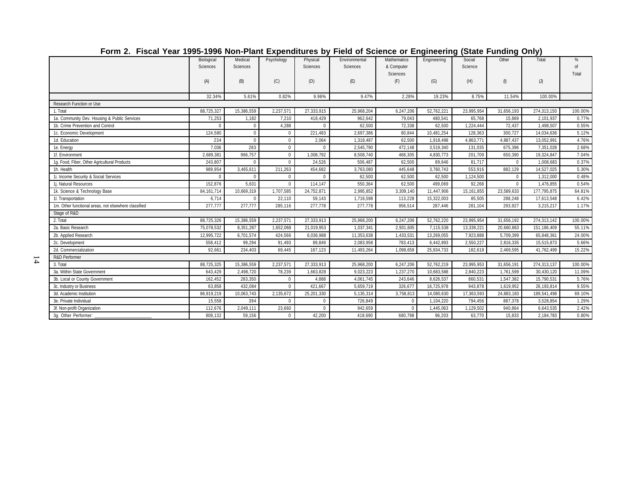| ן טווויב. דוסטמר רשו וטטס-וטטס וזטורי ומות באףטווטונטרט אין דוטט טר טטוטווטט טר בוואַוויטיווואַ (טנמנט רשווטווא |                        |                     |                |                      |                           |                                              |             |                   |              |             |                  |
|-----------------------------------------------------------------------------------------------------------------|------------------------|---------------------|----------------|----------------------|---------------------------|----------------------------------------------|-------------|-------------------|--------------|-------------|------------------|
|                                                                                                                 | Biological<br>Sciences | Medical<br>Sciences | Psychology     | Physical<br>Sciences | Environmental<br>Sciences | <b>Mathematics</b><br>& Computer<br>Sciences | Engineering | Social<br>Science | Other        | Total       | %<br>of<br>Total |
|                                                                                                                 | (A)                    | (B)                 | (C)            | (D)                  | (E)                       | (F)                                          | (G)         | (H)               | (            | (J)         |                  |
|                                                                                                                 | 32.34%                 | 5.61%               | 0.82%          | 9.96%                | 9.47%                     | 2.28%                                        | 19.23%      | 8.75%             | 11.54%       | 100.00%     |                  |
| Research Function or Use                                                                                        |                        |                     |                |                      |                           |                                              |             |                   |              |             |                  |
| 1. Total                                                                                                        | 88,725,327             | 15,386,559          | 2,237,571      | 27,333,915           | 25,968,204                | 6,247,206                                    | 52,762,221  | 23,995,954        | 31,656,193   | 274,313,150 | 100.00%          |
| 1a. Community Dev. Housing & Public Services                                                                    | 71,253                 | 1,182               | 7,210          | 418,429              | 962,642                   | 79,043                                       | 480,541     | 65,768            | 15,869       | 2,101,937   | 0.77%            |
| 1b. Crime Prevention and Control                                                                                |                        | $\mathbf 0$         | 4,288          | $\Omega$             | 62,500                    | 72,338                                       | 62,500      | 1,224,444         | 72,437       | 1,498,507   | 0.55%            |
| 1c. Economic Development                                                                                        | 124,580                | $\mathbf 0$         | $\mathbf 0$    | 221,483              | 2,697,386                 | 80,844                                       | 10,481,254  | 128,363           | 300,727      | 14,034,636  | 5.12%            |
| 1d. Education                                                                                                   | 234                    | $\mathbf 0$         | $\mathbf{0}$   | 2,064                | 1,318,487                 | 62,500                                       | 1,918,498   | 4,863,771         | 4,887,437    | 13,052,991  | 4.76%            |
| 1e. Energy                                                                                                      | 7,036                  | 283                 | $\mathbf{0}$   | $\Omega$             | 2,545,790                 | 472,148                                      | 3,519,340   | 131,035           | 675,396      | 7,351,028   | 2.68%            |
| 1f. Environment                                                                                                 | 2,689,381              | 966,757             | $\mathbf{0}$   | 1,008,792            | 8,508,740                 | 468,305                                      | 4,830,773   | 201,709           | 650,390      | 19,324,847  | 7.04%            |
| 1g. Food, Fiber, Other Agricultural Products                                                                    | 243,807                | $\Omega$            | $\overline{0}$ | 24,526               | 506,487                   | 62,500                                       | 89,646      | 81,717            | $\mathbf{0}$ | 1,008,683   | 0.37%            |
| 1h. Health                                                                                                      | 989,954                | 3,465,611           | 211,263        | 454,682              | 3,763,080                 | 445,648                                      | 3,760,743   | 553,916           | 882,129      | 14,527,025  | 5.30%            |
| 1i. Income Security & Social Services                                                                           | $\Omega$               | $\Omega$            | $\mathbf{0}$   | $\Omega$             | 62,500                    | 62,500                                       | 62,500      | 1,124,500         | $\mathbf{0}$ | 1,312,000   | 0.48%            |
| 1j. Natural Resources                                                                                           | 152,876                | 5,631               | $\mathbf{0}$   | 114,147              | 550,364                   | 62,500                                       | 499,069     | 92,268            | $\mathbf 0$  | 1,476,855   | 0.54%            |
| 1k. Science & Technology Base                                                                                   | 84, 161, 714           | 10,669,319          | 1,707,585      | 24,752,871           | 2,995,852                 | 3,309,140                                    | 11,447,906  | 15,161,855        | 23,589,633   | 177,795,875 | 64.81%           |
| 1l. Transportation                                                                                              | 6,714                  | $\Omega$            | 22,110         | 59,143               | 1,716,598                 | 113,228                                      | 15,322,003  | 85,505            | 288,248      | 17,613,548  | 6.42%            |
| 1m. Other functional areas, not elsewhere classified                                                            | 277,777                | 277,777             | 285,116        | 277,778              | 277,778                   | 956,514                                      | 287,446     | 281,104           | 293,927      | 3,215,217   | 1.17%            |
| Stage of R&D                                                                                                    |                        |                     |                |                      |                           |                                              |             |                   |              |             |                  |
| 2. Total                                                                                                        | 88,725,326             | 15,386,559          | 2,237,571      | 27,333,913           | 25,968,200                | 6,247,206                                    | 52,762,220  | 23,995,954        | 31,656,192   | 274,313,142 | 100.00%          |
| 2a. Basic Research                                                                                              | 75,078,532             | 8,351,287           | 1,652,068      | 21,019,953           | 1,037,341                 | 2,931,605                                    | 7,115,538   | 13,339,221        | 20,660,863   | 151,186,409 | 55.11%           |
| 2b. Applied Research                                                                                            | 12,995,722             | 6,701,574           | 424,566        | 6,036,988            | 11,353,638                | 1,433,531                                    | 13,269,055  | 7,923,888         | 5,709,399    | 65,848,361  | 24.00%           |
| 2c. Development                                                                                                 | 558,412                | 99,294              | 91,493         | 89,849               | 2,083,958                 | 783,413                                      | 6,442,893   | 2,550,227         | 2,816,335    | 15,515,873  | 5.66%            |
| 2d. Commercialization                                                                                           | 92,661                 | 234,403             | 69,445         | 187,123              | 11,493,264                | 1,098,658                                    | 25,934,733  | 182,618           | 2,469,595    | 41,762,499  | 15.22%           |
| R&D Performer                                                                                                   |                        |                     |                |                      |                           |                                              |             |                   |              |             |                  |
| 3. Total                                                                                                        | 88,725,325             | 15,386,559          | 2,237,571      | 27,333,913           | 25,968,200                | 6,247,206                                    | 52,762,219  | 23,995,953        | 31,656,191   | 274,313,137 | 100.00%          |
| 3a. Within State Government                                                                                     | 643,429                | 2,498,720           | 78,239         | 1,663,828            | 9,023,223                 | 1,237,270                                    | 10,683,588  | 2,840,223         | 1,761,599    | 30,430,120  | 11.09%           |
| 3b. Local or County Government                                                                                  | 162,452                | 283,350             | $\mathbf{0}$   | 4,888                | 4,061,745                 | 243,646                                      | 8,626,537   | 860,531           | 1,547,382    | 15,790,531  | 5.76%            |
| 3c. Industry or Business                                                                                        | 63.858                 | 432.084             | $\mathbf{0}$   | 421.667              | 5,659,719                 | 326.677                                      | 16,725,978  | 943.878           | 1,619,952    | 26,193,814  | 9.55%            |
| 3d. Academic Institution                                                                                        | 86,919,219             | 10,063,743          | 2,135,672      | 25,201,330           | 5,135,314                 | 3,758,813                                    | 14,080,630  | 17,363,593        | 24,883,183   | 189,541,498 | 69.10%           |
| 3e. Private Individual                                                                                          | 15,558                 | 394                 | $\mathbf{0}$   | $\Omega$             | 726,849                   | $\Omega$                                     | 1,104,220   | 794,456           | 887,378      | 3,528,854   | 1.29%            |
| 3f. Non-profit Organization                                                                                     | 112,676                | 2,049,111           | 23,660         | $\Omega$             | 942,659                   | $\Omega$                                     | 1,445,063   | 1,129,502         | 940,864      | 6,643,535   | 2.42%            |
| 3g. Other Performer:                                                                                            | 808.132                | 59.156              | $\Omega$       | 42.200               | 418.690                   | 680.798                                      | 96.203      | 63.770            | 15,833       | 2,184,783   | 0.80%            |

#### **Form 2. Fiscal Year 1995-1996 Non-Plant Expenditures by Field of Science or Engineering (State Funding Only)**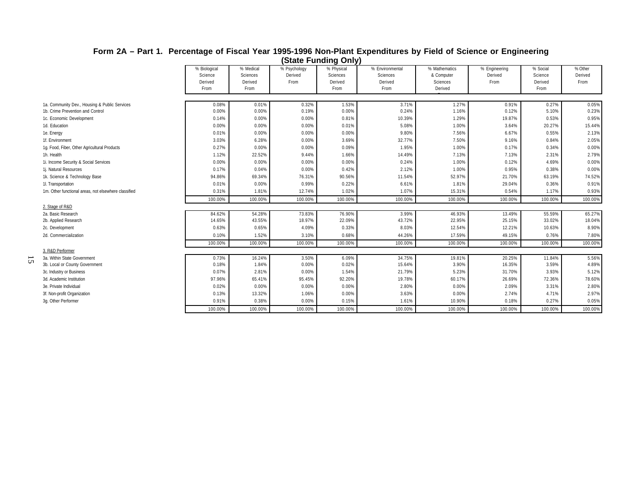|                                                      |                                            |                                          |                                 | otato : anianig only                      |                                                |                                                    |                                  |                                        |                            |
|------------------------------------------------------|--------------------------------------------|------------------------------------------|---------------------------------|-------------------------------------------|------------------------------------------------|----------------------------------------------------|----------------------------------|----------------------------------------|----------------------------|
|                                                      | % Biological<br>Science<br>Derived<br>From | % Medical<br>Sciences<br>Derived<br>From | % Psychology<br>Derived<br>From | % Physical<br>Sciences<br>Derived<br>From | % Environmental<br>Sciences<br>Derived<br>From | % Mathematics<br>& Computer<br>Sciences<br>Derived | % Engineering<br>Derived<br>From | % Social<br>Science<br>Derived<br>From | % Other<br>Derived<br>From |
|                                                      |                                            |                                          |                                 |                                           |                                                |                                                    |                                  |                                        |                            |
| 1a. Community Dev., Housing & Public Services        | 0.08%                                      | 0.01%                                    | 0.32%                           | 1.53%                                     | 3.71%                                          | 1.27%                                              | 0.91%                            | 0.27%                                  | 0.05%                      |
| 1b. Crime Prevention and Control                     | 0.00%                                      | 0.00%                                    | 0.19%                           | 0.00%                                     | 0.24%                                          | 1.16%                                              | 0.12%                            | 5.10%                                  | 0.23%                      |
| 1c. Economic Development                             | 0.14%                                      | 0.00%                                    | 0.00%                           | 0.81%                                     | 10.39%                                         | 1.29%                                              | 19.87%                           | 0.53%                                  | 0.95%                      |
| 1d. Education                                        | 0.00%                                      | 0.00%                                    | 0.00%                           | 0.01%                                     | 5.08%                                          | 1.00%                                              | 3.64%                            | 20.27%                                 | 15.44%                     |
| 1e. Energy                                           | 0.01%                                      | 0.00%                                    | 0.00%                           | 0.00%                                     | 9.80%                                          | 7.56%                                              | 6.67%                            | 0.55%                                  | 2.13%                      |
| 1f. Environment                                      | 3.03%                                      | 6.28%                                    | 0.00%                           | 3.69%                                     | 32.77%                                         | 7.50%                                              | 9.16%                            | 0.84%                                  | 2.05%                      |
| 1g. Food, Fiber, Other Agricultural Products         | 0.27%                                      | 0.00%                                    | 0.00%                           | 0.09%                                     | 1.95%                                          | 1.00%                                              | 0.17%                            | 0.34%                                  | 0.00%                      |
| 1h. Health                                           | 1.12%                                      | 22.52%                                   | 9.44%                           | 1.66%                                     | 14.49%                                         | 7.13%                                              | 7.13%                            | 2.31%                                  | 2.79%                      |
| 1i. Income Security & Social Services                | 0.00%                                      | 0.00%                                    | 0.00%                           | 0.00%                                     | 0.24%                                          | 1.00%                                              | 0.12%                            | 4.69%                                  | 0.00%                      |
| 1j. Natural Resources                                | 0.17%                                      | 0.04%                                    | 0.00%                           | 0.42%                                     | 2.12%                                          | 1.00%                                              | 0.95%                            | 0.38%                                  | 0.00%                      |
| 1k. Science & Technology Base                        | 94.86%                                     | 69.34%                                   | 76.31%                          | 90.56%                                    | 11.54%                                         | 52.97%                                             | 21.70%                           | 63.19%                                 | 74.52%                     |
| 11. Transportation                                   | 0.01%                                      | 0.00%                                    | 0.99%                           | 0.22%                                     | 6.61%                                          | 1.81%                                              | 29.04%                           | 0.36%                                  | 0.91%                      |
| 1m. Other functional areas, not elsewhere classified | 0.31%                                      | 1.81%                                    | 12.74%                          | 1.02%                                     | 1.07%                                          | 15.31%                                             | 0.54%                            | 1.17%                                  | 0.93%                      |
|                                                      | 100.00%                                    | 100.00%                                  | 100.00%                         | 100.00%                                   | 100.00%                                        | 100.00%                                            | 100.00%                          | 100.00%                                | 100.00%                    |
| 2. Stage of R&D                                      |                                            |                                          |                                 |                                           |                                                |                                                    |                                  |                                        |                            |
| 2a. Basic Research                                   | 84.62%                                     | 54.28%                                   | 73.83%                          | 76.90%                                    | 3.99%                                          | 46.93%                                             | 13.49%                           | 55.59%                                 | 65.27%                     |
| 2b. Applied Research                                 | 14.65%                                     | 43.55%                                   | 18.97%                          | 22.09%                                    | 43.72%                                         | 22.95%                                             | 25.15%                           | 33.02%                                 | 18.04%                     |
| 2c. Development                                      | 0.63%                                      | 0.65%                                    | 4.09%                           | 0.33%                                     | 8.03%                                          | 12.54%                                             | 12.21%                           | 10.63%                                 | 8.90%                      |
| 2d. Commercialization                                | 0.10%                                      | 1.52%                                    | 3.10%                           | 0.68%                                     | 44.26%                                         | 17.59%                                             | 49.15%                           | 0.76%                                  | 7.80%                      |
|                                                      | 100.00%                                    | 100.00%                                  | 100.00%                         | 100.00%                                   | 100.00%                                        | 100.00%                                            | 100.00%                          | 100.00%                                | 100.00%                    |
| 3. R&D Performer                                     |                                            |                                          |                                 |                                           |                                                |                                                    |                                  |                                        |                            |
| 3a. Within State Government                          | 0.73%                                      | 16.24%                                   | 3.50%                           | 6.09%                                     | 34.75%                                         | 19.81%                                             | 20.25%                           | 11.84%                                 | 5.56%                      |
| 3b. Local or County Government                       | 0.18%                                      | 1.84%                                    | 0.00%                           | 0.02%                                     | 15.64%                                         | 3.90%                                              | 16.35%                           | 3.59%                                  | 4.89%                      |
| 3c. Industry or Business                             | 0.07%                                      | 2.81%                                    | 0.00%                           | 1.54%                                     | 21.79%                                         | 5.23%                                              | 31.70%                           | 3.93%                                  | 5.12%                      |
| 3d. Academic Institution                             | 97.96%                                     | 65.41%                                   | 95.45%                          | 92.20%                                    | 19.78%                                         | 60.17%                                             | 26.69%                           | 72.36%                                 | 78.60%                     |
| 3e. Private Individual                               | 0.02%                                      | 0.00%                                    | 0.00%                           | 0.00%                                     | 2.80%                                          | 0.00%                                              | 2.09%                            | 3.31%                                  | 2.80%                      |
| 3f. Non-profit Organization                          | 0.13%                                      | 13.32%                                   | 1.06%                           | 0.00%                                     | 3.63%                                          | 0.00%                                              | 2.74%                            | 4.71%                                  | 2.97%                      |
| 3q. Other Performer                                  | 0.91%                                      | 0.38%                                    | 0.00%                           | 0.15%                                     | 1.61%                                          | 10.90%                                             | 0.18%                            | 0.27%                                  | 0.05%                      |
|                                                      | 100.00%                                    | 100.00%                                  | 100.00%                         | 100.00%                                   | 100.00%                                        | 100.00%                                            | 100.00%                          | 100.00%                                | 100.00%                    |

15

#### **Form 2A – Part 1. Percentage of Fiscal Year 1995-1996 Non-Plant Expenditures by Field of Science or Engineering (State Funding Only)**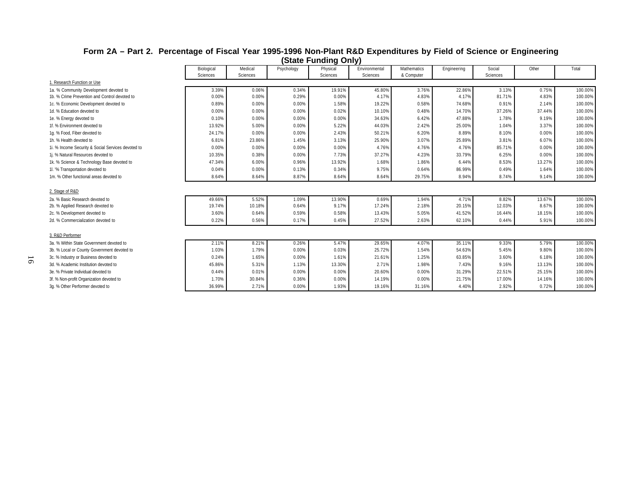#### **Form 2A – Part 2. Percentage of Fiscal Year 1995-1996 Non-Plant R&D Expenditures by Field of Science or Engineering (State Funding Only)**

|                                                    | Biological | Medical  | Psychology | Physical | Environmental | Mathematics | Engineering | Social   | Other  | Total   |
|----------------------------------------------------|------------|----------|------------|----------|---------------|-------------|-------------|----------|--------|---------|
|                                                    | Sciences   | Sciences |            | Sciences | Sciences      | & Computer  |             | Sciences |        |         |
| 1. Research Function or Use                        |            |          |            |          |               |             |             |          |        |         |
| 1a. % Community Development devoted to             | 3.39%      | 0.06%    | 0.34%      | 19.91%   | 45.80%        | 3.76%       | 22.86%      | 3.13%    | 0.75%  | 100.00% |
| 1b. % Crime Prevention and Control devoted to      | 0.00%      | 0.00%    | 0.29%      | 0.00%    | 4.17%         | 4.83%       | 4.17%       | 81.71%   | 4.83%  | 100.00% |
| 1c. % Economic Development devoted to              | 0.89%      | 0.00%    | 0.00%      | 1.58%    | 19.22%        | 0.58%       | 74.68%      | 0.91%    | 2.14%  | 100.00% |
| 1d. % Education devoted to                         | 0.00%      | 0.00%    | 0.00%      | 0.02%    | 10.10%        | 0.48%       | 14.70%      | 37.26%   | 37.44% | 100.00% |
| 1e. % Energy devoted to                            | 0.10%      | 0.00%    | 0.00%      | 0.00%    | 34.63%        | 6.42%       | 47.88%      | 1.78%    | 9.19%  | 100.00% |
| 1f. % Environment devoted to                       | 13.92%     | 5.00%    | 0.00%      | 5.22%    | 44.03%        | 2.42%       | 25.00%      | 1.04%    | 3.37%  | 100.00% |
| 1g. % Food, Fiber devoted to                       | 24.17%     | 0.00%    | 0.00%      | 2.43%    | 50.21%        | 6.20%       | 8.89%       | 8.10%    | 0.00%  | 100.00% |
| 1h. % Health devoted to                            | 6.81%      | 23.86%   | 1.45%      | 3.13%    | 25.90%        | 3.07%       | 25.89%      | 3.81%    | 6.07%  | 100.00% |
| 1i. % Income Security & Social Services devoted to | 0.00%      | 0.00%    | 0.00%      | 0.00%    | 4.76%         | 4.76%       | 4.76%       | 85.71%   | 0.00%  | 100.00% |
| 1j. % Natural Resources devoted to                 | 10.35%     | 0.38%    | 0.00%      | 7.73%    | 37.27%        | 4.23%       | 33.79%      | 6.25%    | 0.00%  | 100.00% |
| 1k. % Science & Technology Base devoted to         | 47.34%     | 6.00%    | 0.96%      | 13.92%   | 1.68%         | 1.86%       | 6.44%       | 8.53%    | 13.27% | 100.00% |
| 11. '% Transportation devoted to                   | 0.04%      | 0.00%    | 0.13%      | 0.34%    | 9.75%         | 0.64%       | 86.99%      | 0.49%    | 1.64%  | 100.00% |
| 1m. % Other functional areas devoted to            | 8.64%      | 8.64%    | 8.87%      | 8.64%    | 8.64%         | 29.75%      | 8.94%       | 8.74%    | 9.14%  | 100.00% |
|                                                    |            |          |            |          |               |             |             |          |        |         |
| 2. Stage of R&D                                    |            |          |            |          |               |             |             |          |        |         |
| 2a. % Basic Research devoted to                    | 49.66%     | 5.52%    | 1.09%      | 13.90%   | 0.69%         | 1.94%       | 4.71%       | 8.82%    | 13.67% | 100.00% |
| 2b. % Applied Research devoted to                  | 19.74%     | 10.18%   | 0.64%      | 9.17%    | 17.24%        | 2.18%       | 20.15%      | 12.03%   | 8.67%  | 100.00% |
| 2c. % Development devoted to                       | 3.60%      | 0.64%    | 0.59%      | 0.58%    | 13.43%        | 5.05%       | 41.52%      | 16.44%   | 18.15% | 100.00% |
| 2d. % Commercialization devoted to                 | 0.22%      | 0.56%    | 0.17%      | 0.45%    | 27.52%        | 2.63%       | 62.10%      | 0.44%    | 5.91%  | 100.00% |
| 3. R&D Performer                                   |            |          |            |          |               |             |             |          |        |         |
| 3a. % Within State Government devoted to           | 2.11%      | 8.21%    | 0.26%      | 5.47%    | 29.65%        | 4.07%       | 35.11%      | 9.33%    | 5.79%  | 100.00% |
| 3b. % Local or County Government devoted to        | 1.03%      | 1.79%    | 0.00%      | 0.03%    | 25.72%        | 1.54%       | 54.63%      | 5.45%    | 9.80%  | 100.00% |
| 3c. % Industry or Business devoted to              | 0.24%      | 1.65%    | 0.00%      | 1.61%    | 21.61%        | 1.25%       | 63.85%      | 3.60%    | 6.18%  | 100.00% |
| 3d. % Academic Institution devoted to              | 45.86%     | 5.31%    | 1.13%      | 13.30%   | 2.71%         | 1.98%       | 7.43%       | 9.16%    | 13.13% | 100.00% |
| 3e. % Private Individual devoted to                | 0.44%      | 0.01%    | 0.00%      | 0.00%    | 20.60%        | 0.00%       | 31.29%      | 22.51%   | 25.15% | 100.00% |
| 3f. % Non-profit Organization devoted to           | 1.70%      | 30.84%   | 0.36%      | 0.00%    | 14.19%        | 0.00%       | 21.75%      | 17.00%   | 14.16% | 100.00% |
| 3q. % Other Performer devoted to                   | 36.99%     | 2.71%    | 0.00%      | 1.93%    | 19.16%        | 31.16%      | 4.40%       | 2.92%    | 0.72%  | 100.00% |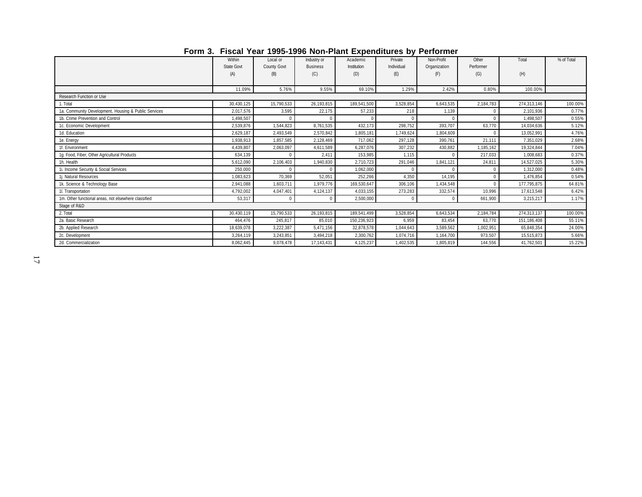|                                                      |                   |                    |                 | <u>I UIIII J. TISUAI TEAT 1990-1990 NUIFI IAIR EXPERIMENTES DY FEITUITIEI</u> |            |              |           |             |            |  |  |
|------------------------------------------------------|-------------------|--------------------|-----------------|-------------------------------------------------------------------------------|------------|--------------|-----------|-------------|------------|--|--|
|                                                      | Within            | Local or           | Industry or     | Academic                                                                      | Private    | Non-Profit   | Other     | Total       | % of Total |  |  |
|                                                      | <b>State Govt</b> | <b>County Govt</b> | <b>Business</b> | Institution                                                                   | Individual | Organization | Performer |             |            |  |  |
|                                                      | (A)               | (B)                | (C)             | (D)                                                                           | (E)        | (F)          | (G)       | (H)         |            |  |  |
|                                                      |                   |                    |                 |                                                                               |            |              |           |             |            |  |  |
|                                                      | 11.09%            | 5.76%              | 9.55%           | 69.10%                                                                        | 1.29%      | 2.42%        | 0.80%     | 100.00%     |            |  |  |
| Research Function or Use                             |                   |                    |                 |                                                                               |            |              |           |             |            |  |  |
| 1. Total                                             | 30,430,125        | 15,790,533         | 26, 193, 815    | 189,541,500                                                                   | 3,528,854  | 6,643,535    | 2,184,783 | 274,313,146 | 100.00%    |  |  |
| 1a. Community Development, Housing & Public Services | 2.017.576         | 3,595              | 22.175          | 57.233                                                                        | 218        | 1,139        |           | 2,101,936   | 0.77%      |  |  |
| 1b. Crime Prevention and Control                     | 1.498.507         |                    |                 |                                                                               |            |              |           | 1,498,507   | 0.55%      |  |  |
| 1c. Economic Development                             | 2,539,876         | 1,544,823          | 8,761,535       | 432,173                                                                       | 298,752    | 393,707      | 63,770    | 14,034,636  | 5.12%      |  |  |
| 1d. Education                                        | 2,629,187         | 2,493,549          | 2,570,842       | 1,805,181                                                                     | 1,749,624  | 1,804,609    |           | 13,052,991  | 4.76%      |  |  |
| 1e. Energy                                           | 1,938,913         | 1,857,585          | 2,128,469       | 717.062                                                                       | 297.128    | 390,761      | 21.111    | 7,351,029   | 2.68%      |  |  |
| 1f. Environment                                      | 4,439,807         | 2,063,097          | 4.611.589       | 6.287.076                                                                     | 307,232    | 430,882      | 1,185,162 | 19,324,844  | 7.04%      |  |  |
| 1g. Food, Fiber, Other Agricultural Products         | 634,139           |                    | 2,411           | 153,985                                                                       | 1,115      |              | 217,033   | 1,008,683   | 0.37%      |  |  |
| 1h. Health                                           | 5,612,090         | 2,106,403          | 1,940,830       | 2,710,723                                                                     | 291,046    | 1,841,121    | 24,811    | 14,527,025  | 5.30%      |  |  |
| 1i. Income Security & Social Services                | 250,000           |                    |                 | 1,062,000                                                                     |            |              |           | 1,312,000   | 0.48%      |  |  |
| 1j. Natural Resources                                | 1,083,623         | 70,369             | 52,051          | 252,266                                                                       | 4,350      | 14,195       |           | 1,476,854   | 0.54%      |  |  |
| 1k. Science & Technology Base                        | 2,941,088         | 1,603,711          | 1,979,776       | 169,530,647                                                                   | 306,106    | 1,434,548    |           | 177,795,875 | 64.81%     |  |  |
| 11. Transportation                                   | 4,792,002         | 4,047,401          | 4,124,137       | 4,033,155                                                                     | 273,283    | 332,574      | 10,996    | 17,613,548  | 6.42%      |  |  |
| 1m. Other functional areas, not elsewhere classified | 53,317            | $\Omega$           |                 | 2,500,000                                                                     |            |              | 661,900   | 3,215,217   | 1.17%      |  |  |
| Stage of R&D                                         |                   |                    |                 |                                                                               |            |              |           |             |            |  |  |
| 2. Total                                             | 30,430,119        | 15,790,533         | 26,193,815      | 189,541,499                                                                   | 3,528,854  | 6,643,534    | 2,184,784 | 274,313,137 | 100.00%    |  |  |
| 2a. Basic Research                                   | 464.476           | 245,817            | 85,010          | 150,236,923                                                                   | 6,959      | 83,454       | 63,770    | 151,186,408 | 55.11%     |  |  |
| 2b. Applied Research                                 | 18,639,078        | 3,222,387          | 5,471,156       | 32,878,578                                                                    | 1,044,643  | 3,589,562    | 1,002,951 | 65,848,354  | 24.00%     |  |  |
| 2c. Development                                      | 3,264,119         | 3,243,851          | 3,494,218       | 2,300,762                                                                     | 1,074,716  | 1,164,700    | 973,507   | 15,515,873  | 5.66%      |  |  |
| 2d. Commercialization                                | 8,062,445         | 9,078,478          | 17,143,431      | 4,125,237                                                                     | 1,402,535  | 1,805,819    | 144,556   | 41,762,501  | 15.22%     |  |  |
|                                                      |                   |                    |                 |                                                                               |            |              |           |             |            |  |  |

**Form 3. Fiscal Year 1995-1996 Non-Plant Expenditures by Performer**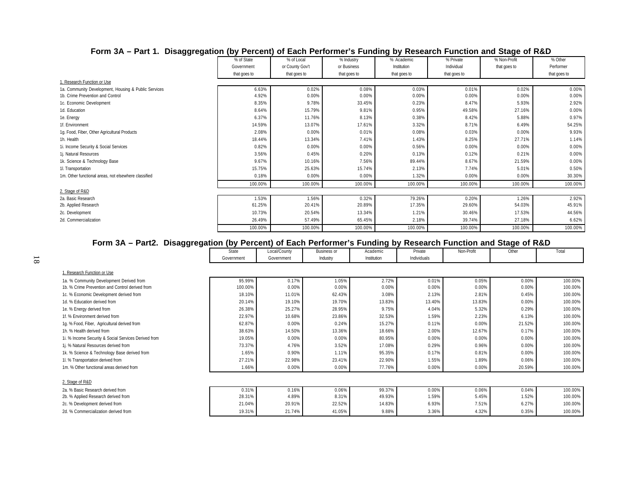| ັັ<br><u>ູ</u>                                       |              |                 |              |              |              |              |              |
|------------------------------------------------------|--------------|-----------------|--------------|--------------|--------------|--------------|--------------|
|                                                      | % of State   | % of Local      | % Industry   | % Academic   | % Private    | % Non-Profit | % Other      |
|                                                      | Government   | or County Gov't | or Business  | Institution  | Individual   | that goes to | Performer    |
|                                                      | that goes to | that goes to    | that goes to | that goes to | that goes to |              | that goes to |
| 1. Research Function or Use                          |              |                 |              |              |              |              |              |
| 1a. Community Development, Housing & Public Services | 6.63%        | 0.02%           | 0.08%        | 0.03%        | 0.01%        | 0.02%        | $0.00\%$     |
| 1b. Crime Prevention and Control                     | 4.92%        | 0.00%           | 0.00%        | 0.00%        | 0.00%        | 0.00%        | $0.00\%$     |
| 1c. Economic Development                             | 8.35%        | 9.78%           | 33.45%       | 0.23%        | 8.47%        | 5.93%        | 2.92%        |
| 1d. Education                                        | 8.64%        | 15.79%          | 9.81%        | 0.95%        | 49.58%       | 27.16%       | 0.00%        |
| 1e. Energy                                           | 6.37%        | 11.76%          | 8.13%        | 0.38%        | 8.42%        | 5.88%        | 0.97%        |
| 1f. Environment                                      | 14.59%       | 13.07%          | 17.61%       | 3.32%        | 8.71%        | 6.49%        | 54.25%       |
| 1g. Food, Fiber, Other Agricultural Products         | 2.08%        | 0.00%           | 0.01%        | 0.08%        | 0.03%        | 0.00%        | 9.93%        |
| 1h. Health                                           | 18.44%       | 13.34%          | 7.41%        | 1.43%        | 8.25%        | 27.71%       | 1.14%        |
| 1i. Income Security & Social Services                | 0.82%        | 0.00%           | 0.00%        | 0.56%        | 0.00%        | 0.00%        | 0.00%        |
| 1i. Natural Resources                                | 3.56%        | 0.45%           | 0.20%        | 0.13%        | 0.12%        | 0.21%        | 0.00%        |
| 1k. Science & Technology Base                        | 9.67%        | 10.16%          | 7.56%        | 89.44%       | 8.67%        | 21.59%       | 0.00%        |
| 11. Transportation                                   | 15.75%       | 25.63%          | 15.74%       | 2.13%        | 7.74%        | 5.01%        | 0.50%        |
| 1m. Other functional areas, not elsewhere classified | 0.18%        | 0.00%           | 0.00%        | 1.32%        | 0.00%        | 0.00%        | 30.30%       |
|                                                      | 100.00%      | 100.00%         | 100.00%      | 100.00%      | 100.00%      | 100.00%      | 100.00%      |
| 2. Stage of R&D                                      |              |                 |              |              |              |              |              |
| 2a. Basic Research                                   | 1.53%        | 1.56%           | 0.32%        | 79.26%       | 0.20%        | 1.26%        | 2.92%        |
| 2b. Applied Research                                 | 61.25%       | 20.41%          | 20.89%       | 17.35%       | 29.60%       | 54.03%       | 45.91%       |
| 2c. Development                                      | 10.73%       | 20.54%          | 13.34%       | 1.21%        | 30.46%       | 17.53%       | 44.56%       |
| 2d. Commercialization                                | 26.49%       | 57.49%          | 65.45%       | 2.18%        | 39.74%       | 27.18%       | 6.62%        |
|                                                      | 100.00%      | 100.00%         | 100.00%      | 100.00%      | 100.00%      | 100.00%      | 100.00%      |

# **Form 3A – Part 1. Disaggregation (by Percent) of Each Performer's Funding by Research Function and Stage of R&D**

## **Form 3A – Part2. Disaggregation (by Percent) of Each Performer's Funding by Research Function and Stage of R&D**

|                                                      | ັັ           |              |                    |             |             |            |          |         |
|------------------------------------------------------|--------------|--------------|--------------------|-------------|-------------|------------|----------|---------|
|                                                      | <b>State</b> | Local/County | <b>Business or</b> | Academic    | Private     | Non-Profit | Other    | Total   |
|                                                      | Government   | Government   | Industry           | Institution | Individuals |            |          |         |
| . Research Function or Use                           |              |              |                    |             |             |            |          |         |
| 1a. % Community Development Derived from             | 95.99%       | 0.17%        | 1.05%              | 2.72%       | 0.01%       | 0.05%      | $0.00\%$ | 100.00% |
| 1b. % Crime Prevention and Control derived from      | 100.00%      | 0.00%        | 0.00%              | 0.00%       | 0.00%       | 0.00%      | 0.00%    | 100.00% |
| 1c. % Economic Development derived from              | 18.10%       | 11.01%       | 62.43%             | 3.08%       | 2.13%       | 2.81%      | 0.45%    | 100.00% |
| 1d. % Education derived from                         | 20.14%       | 19.10%       | 19.70%             | 13.83%      | 13.40%      | 13.83%     | 0.00%    | 100.00% |
| 1e. % Energy derived from                            | 26.38%       | 25.27%       | 28.95%             | 9.75%       | 4.04%       | 5.32%      | 0.29%    | 100.00% |
| 1f. % Environment derived from                       | 22.97%       | 10.68%       | 23.86%             | 32.53%      | 1.59%       | 2.23%      | 6.13%    | 100.00% |
| 1g. % Food, Fiber, Agricultural derived from         | 62.87%       | 0.00%        | 0.24%              | 15.27%      | 0.11%       | 0.00%      | 21.52%   | 100.00% |
| 1h. % Health derived from                            | 38.63%       | 14.50%       | 13.36%             | 18.66%      | 2.00%       | 12.67%     | 0.17%    | 100.00% |
| 1i. % Income Security & Social Services Derived from | 19.05%       | 0.00%        | 0.00%              | 80.95%      | 0.00%       | 0.00%      | 0.00%    | 100.00% |
| 1j. % Natural Resources derived from                 | 73.37%       | 4.76%        | 3.52%              | 17.08%      | 0.29%       | 0.96%      | 0.00%    | 100.00% |
| 1k. % Science & Technology Base derived from         | 1.65%        | 0.90%        | 1.11%              | 95.35%      | 0.17%       | 0.81%      | $0.00\%$ | 100.00% |
| 11. % Transportation derived from                    | 27.21%       | 22.98%       | 23.41%             | 22.90%      | 1.55%       | 1.89%      | 0.06%    | 100.00% |
| 1m. % Other functional areas derived from            | 1.66%        | $0.00\%$     | 0.00%              | 77.76%      | $0.00\%$    | $0.00\%$   | 20.59%   | 100.00% |
| 2. Stage of R&D                                      |              |              |                    |             |             |            |          |         |
| 2a. % Basic Research derived from                    | 0.31%        | 0.16%        | 0.06%              | 99.37%      | 0.00%       | 0.06%      | 0.04%    | 100.00% |
| 2b. % Applied Research derived from                  | 28.31%       | 4.89%        | 8.31%              | 49.93%      | 1.59%       | 5.45%      | 1.52%    | 100.00% |
| 2c. % Development derived from                       | 21.04%       | 20.91%       | 22.52%             | 14.83%      | 6.93%       | 7.51%      | 6.27%    | 100.00% |
| 2d. % Commercialization derived from                 | 19.31%       | 21.74%       | 41.05%             | 9.88%       | 3.36%       | 4.32%      | 0.35%    | 100.00% |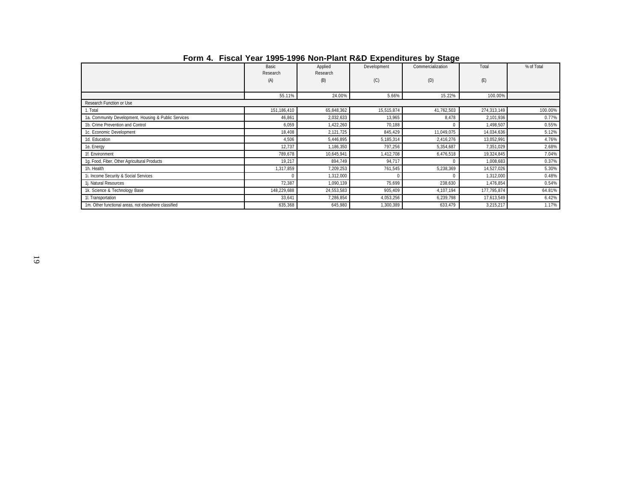|                                                      |                   |                     |             | $=$               |             |            |
|------------------------------------------------------|-------------------|---------------------|-------------|-------------------|-------------|------------|
|                                                      | Basic<br>Research | Applied<br>Research | Development | Commercialization | Total       | % of Total |
|                                                      | (A)               | (B)                 | (C)         | (D)               | (E)         |            |
|                                                      | 55.11%            | 24.00%              | 5.66%       | 15.22%            | 100.00%     |            |
| Research Function or Use                             |                   |                     |             |                   |             |            |
| 1. Total                                             | 151,186,410       | 65,848,362          | 15,515,874  | 41,762,503        | 274,313,149 | 100.00%    |
| 1a. Community Development, Housing & Public Services | 46,861            | 2,032,633           | 13,965      | 8,478             | 2,101,936   | 0.77%      |
| 1b. Crime Prevention and Control                     | 6,059             | 1,422,260           | 70,188      |                   | 1,498,507   | 0.55%      |
| 1c. Economic Development                             | 18,408            | 2,121,725           | 845,429     | 11,049,075        | 14,034,636  | 5.12%      |
| 1d. Education                                        | 4,506             | 5,446,895           | 5,185,314   | 2,416,276         | 13,052,991  | 4.76%      |
| 1e. Energy                                           | 12,737            | 1,186,350           | 797,256     | 5,354,687         | 7,351,029   | 2.68%      |
| 1f. Environment                                      | 789,678           | 10,645,941          | 1,412,708   | 6,476,518         | 19,324,845  | 7.04%      |
| 1g. Food, Fiber, Other Agricultural Products         | 19,217            | 894,749             | 94,717      | $\Omega$          | 1,008,683   | 0.37%      |
| 1h. Health                                           | 1,317,859         | 7,209,253           | 761,545     | 5,238,369         | 14,527,026  | 5.30%      |
| 1i. Income Security & Social Services                |                   | 1,312,000           |             |                   | 1,312,000   | 0.48%      |
| 1j. Natural Resources                                | 72,387            | 1,090,139           | 75,699      | 238,630           | 1,476,854   | 0.54%      |
| 1k. Science & Technology Base                        | 148,229,688       | 24,553,583          | 905,409     | 4,107,194         | 177,795,874 | 64.81%     |
| 1. Transportation                                    | 33,641            | 7,286,854           | 4,053,256   | 6,239,798         | 17,613,549  | 6.42%      |
| 1m. Other functional areas, not elsewhere classified | 635,368           | 645,980             | 1,300,389   | 633,479           | 3,215,217   | 1.17%      |

# **Form 4. Fiscal Year 1995-1996 Non-Plant R&D Expenditures by Stage**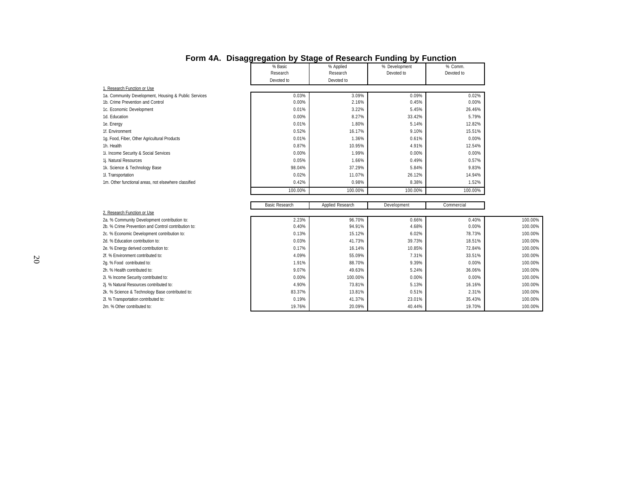|                                                      | ני ווטאפטופטופ        | $-$                   | $\frac{1}{2}$ . Rooda. U.F. andrang by Fanolion. |                       |         |
|------------------------------------------------------|-----------------------|-----------------------|--------------------------------------------------|-----------------------|---------|
|                                                      | % Basic<br>Research   | % Applied<br>Research | % Development<br>Devoted to                      | % Comm.<br>Devoted to |         |
|                                                      |                       |                       |                                                  |                       |         |
|                                                      | Devoted to            | Devoted to            |                                                  |                       |         |
| 1. Research Function or Use                          |                       |                       |                                                  |                       |         |
| 1a. Community Development, Housing & Public Services | 0.03%                 | 3.09%                 | 0.09%                                            | 0.02%                 |         |
| 1b. Crime Prevention and Control                     | 0.00%                 | 2.16%                 | 0.45%                                            | 0.00%                 |         |
| 1c. Economic Development                             | 0.01%                 | 3.22%                 | 5.45%                                            | 26.46%                |         |
| 1d. Education                                        | 0.00%                 | 8.27%                 | 33.42%                                           | 5.79%                 |         |
| 1e. Energy                                           | 0.01%                 | 1.80%                 | 5.14%                                            | 12.82%                |         |
| 1f. Environment                                      | 0.52%                 | 16.17%                | 9.10%                                            | 15.51%                |         |
| 1g. Food, Fiber, Other Agricultural Products         | 0.01%                 | 1.36%                 | 0.61%                                            | 0.00%                 |         |
| 1h. Health                                           | 0.87%                 | 10.95%                | 4.91%                                            | 12.54%                |         |
| 1i. Income Security & Social Services                | 0.00%                 | 1.99%                 | 0.00%                                            | 0.00%                 |         |
| 1j. Natural Resources                                | 0.05%                 | 1.66%                 | 0.49%                                            | 0.57%                 |         |
| 1k. Science & Technology Base                        | 98.04%                | 37.29%                | 5.84%                                            | 9.83%                 |         |
| 11. Transportation                                   | 0.02%                 | 11.07%                | 26.12%                                           | 14.94%                |         |
| 1m. Other functional areas, not elsewhere classified | 0.42%                 | 0.98%                 | 8.38%                                            | 1.52%                 |         |
|                                                      | 100.00%               | 100.00%               | 100.00%                                          | 100.00%               |         |
|                                                      |                       |                       |                                                  |                       |         |
|                                                      | <b>Basic Research</b> | Applied Research      | Development                                      | Commercial            |         |
| 2. Research Function or Use                          |                       |                       |                                                  |                       |         |
| 2a. % Community Development contribution to:         | 2.23%                 | 96.70%                | 0.66%                                            | 0.40%                 | 100.00% |
| 2b. % Crime Prevention and Control contribution to:  | 0.40%                 | 94.91%                | 4.68%                                            | 0.00%                 | 100.00% |
| 2c. % Economic Development contribution to:          | 0.13%                 | 15.12%                | 6.02%                                            | 78.73%                | 100.00% |
| 2d. % Education contribution to:                     | 0.03%                 | 41.73%                | 39.73%                                           | 18.51%                | 100.00% |
| 2e. % Energy derived contribution to:                | 0.17%                 | 16.14%                | 10.85%                                           | 72.84%                | 100.00% |
| 2f. % Environment contributed to:                    | 4.09%                 | 55.09%                | 7.31%                                            | 33.51%                | 100.00% |
| 2g. % Food contributed to:                           | 1.91%                 | 88.70%                | 9.39%                                            | 0.00%                 | 100.00% |
| 2h. % Health contributed to:                         | 9.07%                 | 49.63%                | 5.24%                                            | 36.06%                | 100.00% |
| 2i. % Income Security contributed to:                | 0.00%                 | 100.00%               | 0.00%                                            | 0.00%                 | 100.00% |
| 2j. % Natural Resources contributed to:              | 4.90%                 | 73.81%                | 5.13%                                            | 16.16%                | 100.00% |
| 2k. % Science & Technology Base contributed to:      | 83.37%                | 13.81%                | 0.51%                                            | 2.31%                 | 100.00% |
| 2l. % Transportation contributed to:                 | 0.19%                 | 41.37%                | 23.01%                                           | 35.43%                | 100.00% |
| 2m. % Other contributed to:                          | 19.76%                | 20.09%                | 40.44%                                           | 19.70%                | 100.00% |
|                                                      |                       |                       |                                                  |                       |         |

### **Form 4A. Disaggregation by Stage of Research Funding by Function**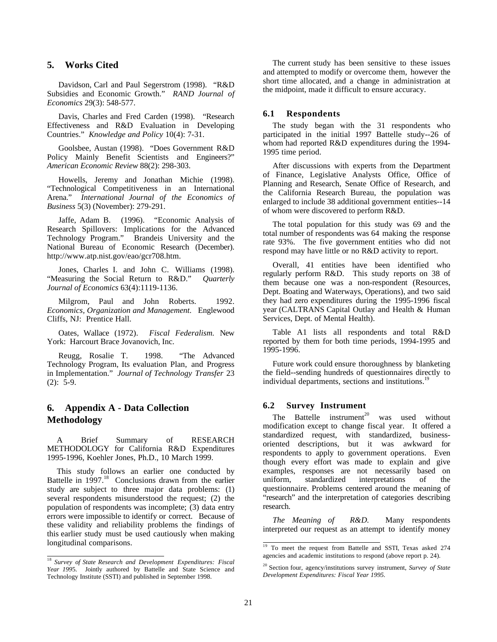# <span id="page-23-0"></span>**5. Works Cited**

Davidson, Carl and Paul Segerstrom (1998). "R&D Subsidies and Economic Growth." *RAND Journal of Economics* 29(3): 548-577.

Davis, Charles and Fred Carden (1998). "Research Effectiveness and R&D Evaluation in Developing Countries." *Knowledge and Policy* 10(4): 7-31.

Goolsbee, Austan (1998). "Does Government R&D Policy Mainly Benefit Scientists and Engineers?" *American Economic Review* 88(2): 298-303.

Howells, Jeremy and Jonathan Michie (1998). "Technological Competitiveness in an International Arena." *International Journal of the Economics of Business* 5(3) (November): 279-291.

Jaffe, Adam B. (1996). "Economic Analysis of Research Spillovers: Implications for the Advanced Technology Program." Brandeis University and the National Bureau of Economic Research (December). http://www.atp.nist.gov/eao/gcr708.htm.

Jones, Charles I. and John C. Williams (1998). "Measuring the Social Return to R&D." *Quarterly Journal of Economics* 63(4):1119-1136.

Milgrom, Paul and John Roberts. 1992. *Economics, Organization and Management.* Englewood Cliffs, NJ: Prentice Hall.

Oates, Wallace (1972). *Fiscal Federalism.* New York: Harcourt Brace Jovanovich, Inc.

Reugg, Rosalie T. 1998. "The Advanced Technology Program, Its evaluation Plan, and Progress in Implementation." *Journal of Technology Transfer* 23 (2): 5-9.

# **6. Appendix A - Data Collection Methodology**

A Brief Summary of RESEARCH METHODOLOGY for California R&D Expenditures 1995-1996, Koehler Jones, Ph.D., 10 March 1999.

This study follows an earlier one conducted by Battelle in 1997.<sup>18</sup> Conclusions drawn from the earlier study are subject to three major data problems: (1) several respondents misunderstood the request; (2) the population of respondents was incomplete; (3) data entry errors were impossible to identify or correct. Because of these validity and reliability problems the findings of this earlier study must be used cautiously when making longitudinal comparisons.

The current study has been sensitive to these issues and attempted to modify or overcome them, however the short time allocated, and a change in administration at the midpoint, made it difficult to ensure accuracy.

#### **6.1 Respondents**

The study began with the 31 respondents who participated in the initial 1997 Battelle study--26 of whom had reported R&D expenditures during the 1994- 1995 time period.

After discussions with experts from the Department of Finance, Legislative Analysts Office, Office of Planning and Research, Senate Office of Research, and the California Research Bureau, the population was enlarged to include 38 additional government entities--14 of whom were discovered to perform R&D.

The total population for this study was 69 and the total number of respondents was 64 making the response rate 93%. The five government entities who did not respond may have little or no R&D activity to report.

Overall, 41 entities have been identified who regularly perform R&D. This study reports on 38 of them because one was a non-respondent (Resources, Dept. Boating and Waterways, Operations), and two said they had zero expenditures during the 1995-1996 fiscal year (CALTRANS Capital Outlay and Health & Human Services, Dept. of Mental Health).

Table A1 lists all respondents and total R&D reported by them for both time periods, 1994-1995 and 1995-1996.

Future work could ensure thoroughness by blanketing the field--sending hundreds of questionnaires directly to individual departments, sections and institutions.<sup>1</sup>

#### **6.2 Survey Instrument**

The Battelle instrument<sup>20</sup> was used without modification except to change fiscal year. It offered a standardized request, with standardized, businessoriented descriptions, but it was awkward for respondents to apply to government operations. Even though every effort was made to explain and give examples, responses are not necessarily based on uniform, standardized interpretations of the questionnaire. Problems centered around the meaning of "research" and the interpretation of categories describing research.

*The Meaning of R&D.* Many respondents interpreted our request as an attempt to identify money

<sup>18</sup> *Survey of State Research and Development Expenditures: Fiscal Year 199*5. Jointly authored by Battelle and State Science and Technology Institute (SSTI) and published in September 1998.

<sup>&</sup>lt;sup>19</sup> To meet the request from Battelle and SSTI, Texas asked 274 agencies and academic institutions to respond (above report p. 24).

<sup>20</sup> Section four, agency/institutions survey instrument, *Survey of State Development Expenditures: Fiscal Year 1995.*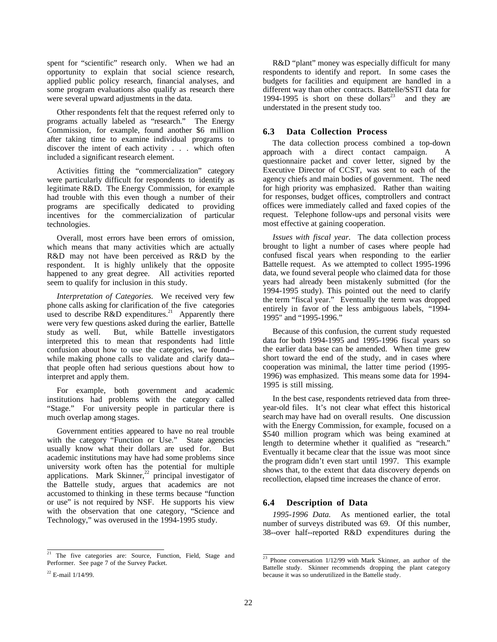spent for "scientific" research only. When we had an opportunity to explain that social science research, applied public policy research, financial analyses, and some program evaluations also qualify as research there were several upward adjustments in the data.

Other respondents felt that the request referred only to programs actually labeled as "research." The Energy Commission, for example, found another \$6 million after taking time to examine individual programs to discover the intent of each activity . . . which often included a significant research element.

Activities fitting the "commercialization" category were particularly difficult for respondents to identify as legitimate R&D. The Energy Commission, for example had trouble with this even though a number of their programs are specifically dedicated to providing incentives for the commercialization of particular technologies.

Overall, most errors have been errors of omission, which means that many activities which are actually R&D may not have been perceived as R&D by the respondent. It is highly unlikely that the opposite happened to any great degree. All activities reported seem to qualify for inclusion in this study.

*Interpretation of Categories.* We received very few phone calls asking for clarification of the five categories used to describe  $\overline{R\&D}$  expenditures.<sup>21</sup> Apparently there were very few questions asked during the earlier, Battelle study as well. But, while Battelle investigators interpreted this to mean that respondents had little confusion about how to use the categories, we found- while making phone calls to validate and clarify data- that people often had serious questions about how to interpret and apply them.

For example, both government and academic institutions had problems with the category called "Stage." For university people in particular there is much overlap among stages.

Government entities appeared to have no real trouble with the category "Function or Use." State agencies usually know what their dollars are used for. But academic institutions may have had some problems since university work often has the potential for multiple applications. Mark Skinner, $^{22}$  principal investigator of the Battelle study, argues that academics are not accustomed to thinking in these terms because "function or use" is not required by NSF. He supports his view with the observation that one category, "Science and Technology," was overused in the 1994-1995 study.

# **6.3 Data Collection Process**

The data collection process combined a top-down approach with a direct contact campaign. A questionnaire packet and cover letter, signed by the Executive Director of CCST, was sent to each of the agency chiefs and main bodies of government. The need for high priority was emphasized. Rather than waiting for responses, budget offices, comptrollers and contract offices were immediately called and faxed copies of the request. Telephone follow-ups and personal visits were most effective at gaining cooperation.

*Issues with fiscal year.* The data collection process brought to light a number of cases where people had confused fiscal years when responding to the earlier Battelle request. As we attempted to collect 1995-1996 data, we found several people who claimed data for those years had already been mistakenly submitted (for the 1994-1995 study). This pointed out the need to clarify the term "fiscal year." Eventually the term was dropped entirely in favor of the less ambiguous labels, "1994- 1995" and "1995-1996."

Because of this confusion, the current study requested data for both 1994-1995 and 1995-1996 fiscal years so the earlier data base can be amended. When time grew short toward the end of the study, and in cases where cooperation was minimal, the latter time period (1995- 1996) was emphasized. This means some data for 1994- 1995 is still missing.

In the best case, respondents retrieved data from threeyear-old files. It's not clear what effect this historical search may have had on overall results. One discussion with the Energy Commission, for example, focused on a \$540 million program which was being examined at length to determine whether it qualified as "research." Eventually it became clear that the issue was moot since the program didn't even start until 1997. This example shows that, to the extent that data discovery depends on recollection, elapsed time increases the chance of error.

### **6.4 Description of Data**

*1995-1996 Data.* As mentioned earlier, the total number of surveys distributed was 69. Of this number, 38--over half--reported R&D expenditures during the

 $\frac{1}{21}$  The five categories are: Source, Function, Field, Stage and Performer. See page 7 of the Survey Packet.

R&D "plant" money was especially difficult for many respondents to identify and report. In some cases the budgets for facilities and equipment are handled in a different way than other contracts. Battelle/SSTI data for 1994-1995 is short on these dollars<sup>23</sup> and they are understated in the present study too.

 $\frac{23}{23}$  Phone conversation  $\frac{1}{12/99}$  with Mark Skinner, an author of the Battelle study. Skinner recommends dropping the plant category because it was so underutilized in the Battelle study.

 $22$  E-mail  $1/14/99$ .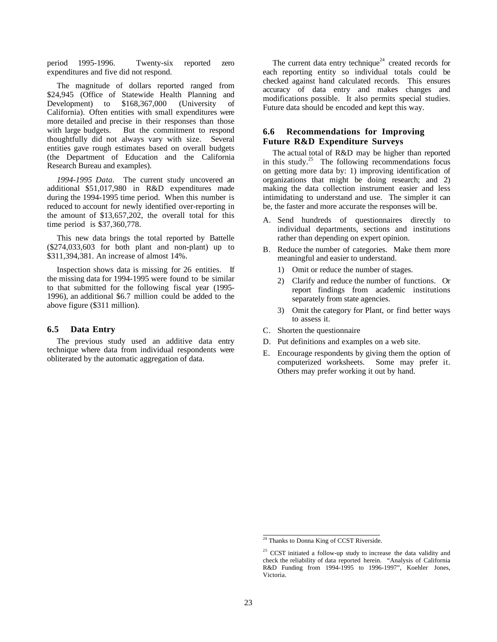<span id="page-25-0"></span>period 1995-1996. Twenty-six reported zero expenditures and five did not respond.

The magnitude of dollars reported ranged from \$24,945 (Office of Statewide Health Planning and Development) to \$168,367,000 (University of California). Often entities with small expenditures were more detailed and precise in their responses than those with large budgets. But the commitment to respond thoughtfully did not always vary with size. Several entities gave rough estimates based on overall budgets (the Department of Education and the California Research Bureau and examples).

*1994-1995 Data.* The current study uncovered an additional \$51,017,980 in R&D expenditures made during the 1994-1995 time period. When this number is reduced to account for newly identified over-reporting in the amount of \$13,657,202, the overall total for this time period is \$37,360,778.

This new data brings the total reported by Battelle (\$274,033,603 for both plant and non-plant) up to \$311,394,381. An increase of almost 14%.

Inspection shows data is missing for 26 entities. If the missing data for 1994-1995 were found to be similar to that submitted for the following fiscal year (1995- 1996), an additional \$6.7 million could be added to the above figure (\$311 million).

#### **6.5 Data Entry**

The previous study used an additive data entry technique where data from individual respondents were obliterated by the automatic aggregation of data.

The current data entry technique<sup>24</sup> created records for each reporting entity so individual totals could be checked against hand calculated records. This ensures accuracy of data entry and makes changes and modifications possible. It also permits special studies. Future data should be encoded and kept this way.

### **6.6 Recommendations for Improving Future R&D Expenditure Surveys**

The actual total of R&D may be higher than reported in this study. $25$  The following recommendations focus on getting more data by: 1) improving identification of organizations that might be doing research; and 2) making the data collection instrument easier and less intimidating to understand and use. The simpler it can be, the faster and more accurate the responses will be.

- A. Send hundreds of questionnaires directly to individual departments, sections and institutions rather than depending on expert opinion.
- B. Reduce the number of categories. Make them more meaningful and easier to understand.
	- 1) Omit or reduce the number of stages.
	- 2) Clarify and reduce the number of functions. Or report findings from academic institutions separately from state agencies.
	- 3) Omit the category for Plant, or find better ways to assess it.
- C. Shorten the questionnaire
- D. Put definitions and examples on a web site.
- E. Encourage respondents by giving them the option of computerized worksheets. Some may prefer it. Others may prefer working it out by hand.

 $24$  Thanks to Donna King of CCST Riverside.

 $25$  CCST initiated a follow-up study to increase the data validity and check the reliability of data reported herein. "Analysis of California R&D Funding from 1994-1995 to 1996-1997", Koehler Jones, Victoria.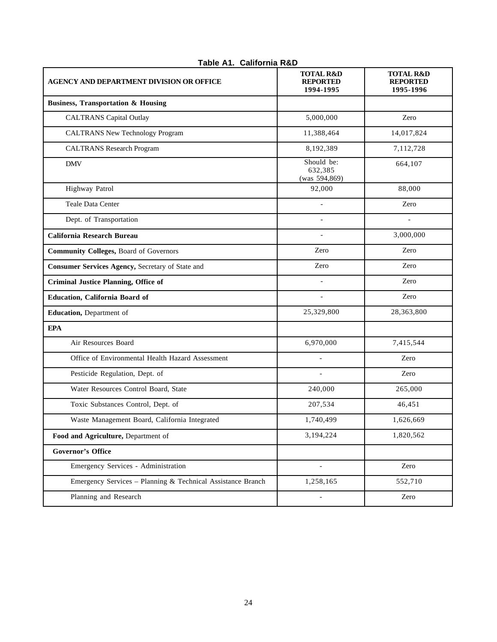| <b>AGENCY AND DEPARTMENT DIVISION OR OFFICE</b>             | <b>TOTAL R&amp;D</b><br><b>REPORTED</b><br>1994-1995 | <b>TOTAL R&amp;D</b><br><b>REPORTED</b><br>1995-1996 |
|-------------------------------------------------------------|------------------------------------------------------|------------------------------------------------------|
| <b>Business, Transportation &amp; Housing</b>               |                                                      |                                                      |
| <b>CALTRANS</b> Capital Outlay                              | 5,000,000                                            | Zero                                                 |
| <b>CALTRANS New Technology Program</b>                      | 11,388,464                                           | 14,017,824                                           |
| <b>CALTRANS</b> Research Program                            | 8,192,389                                            | 7,112,728                                            |
| <b>DMV</b>                                                  | Should be:<br>632,385<br>(was 594,869)               | 664,107                                              |
| Highway Patrol                                              | 92,000                                               | 88,000                                               |
| Teale Data Center                                           |                                                      | Zero                                                 |
| Dept. of Transportation                                     |                                                      |                                                      |
| <b>California Research Bureau</b>                           | $\overline{\phantom{a}}$                             | 3,000,000                                            |
| <b>Community Colleges, Board of Governors</b>               | Zero                                                 | Zero                                                 |
| Consumer Services Agency, Secretary of State and            | Zero                                                 | Zero                                                 |
| <b>Criminal Justice Planning, Office of</b>                 |                                                      | Zero                                                 |
| Education, California Board of                              |                                                      | Zero                                                 |
| Education, Department of                                    | 25,329,800                                           | 28,363,800                                           |
| <b>EPA</b>                                                  |                                                      |                                                      |
| Air Resources Board                                         | 6,970,000                                            | 7,415,544                                            |
| Office of Environmental Health Hazard Assessment            |                                                      | Zero                                                 |
| Pesticide Regulation, Dept. of                              | $\overline{a}$                                       | Zero                                                 |
| Water Resources Control Board, State                        | 240,000                                              | 265,000                                              |
| Toxic Substances Control, Dept. of                          | 207,534                                              | 46,451                                               |
| Waste Management Board, California Integrated               | 1,740,499                                            | 1,626,669                                            |
| Food and Agriculture, Department of                         | 3,194,224                                            | 1,820,562                                            |
| <b>Governor's Office</b>                                    |                                                      |                                                      |
| Emergency Services - Administration                         | $\overline{\phantom{a}}$                             | Zero                                                 |
| Emergency Services - Planning & Technical Assistance Branch | 1,258,165                                            | 552,710                                              |
| Planning and Research                                       |                                                      | Zero                                                 |

# **Table A1. California R&D**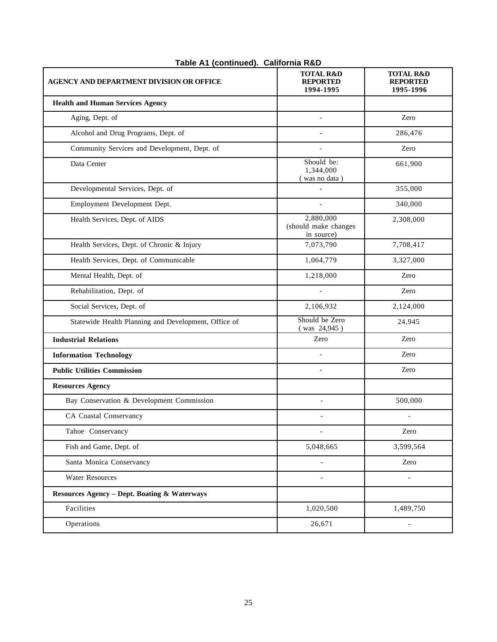| <b>AGENCY AND DEPARTMENT DIVISION OR OFFICE</b>         | <b>TOTAL R&amp;D</b><br><b>REPORTED</b><br>1994-1995 | <b>TOTAL R&amp;D</b><br><b>REPORTED</b><br>1995-1996 |
|---------------------------------------------------------|------------------------------------------------------|------------------------------------------------------|
| <b>Health and Human Services Agency</b>                 |                                                      |                                                      |
| Aging, Dept. of                                         | $\blacksquare$                                       | Zero                                                 |
| Alcohol and Drug Programs, Dept. of                     |                                                      | 286,476                                              |
| Community Services and Development, Dept. of            |                                                      | Zero                                                 |
| Data Center                                             | Should be:<br>1,344,000<br>(was no data)             | 661,900                                              |
| Developmental Services, Dept. of                        |                                                      | 355,000                                              |
| Employment Development Dept.                            | $\overline{\phantom{0}}$                             | 340,000                                              |
| Health Services, Dept. of AIDS                          | 2,880,000<br>(should make changes<br>in source)      | 2,308,000                                            |
| Health Services, Dept. of Chronic & Injury              | 7,073,790                                            | 7,708,417                                            |
| Health Services, Dept. of Communicable                  | 1,064,779                                            | 3,327,000                                            |
| Mental Health, Dept. of                                 | 1,218,000                                            | Zero                                                 |
| Rehabilitation, Dept. of                                |                                                      | Zero                                                 |
| Social Services, Dept. of                               | 2,106,932                                            | 2,124,000                                            |
| Statewide Health Planning and Development, Office of    | Should be Zero<br>(was 24,945)                       | 24,945                                               |
| <b>Industrial Relations</b>                             | Zero                                                 | Zero                                                 |
| <b>Information Technology</b>                           |                                                      | Zero                                                 |
| <b>Public Utilities Commission</b>                      | $\overline{a}$                                       | Zero                                                 |
| <b>Resources Agency</b>                                 |                                                      |                                                      |
| Bay Conservation & Development Commission               | $\overline{\phantom{a}}$                             | 500,000                                              |
| CA Coastal Conservancy                                  | $\overline{\phantom{a}}$                             |                                                      |
| Tahoe Conservancy                                       |                                                      | Zero                                                 |
| Fish and Game, Dept. of                                 | 5,048,665                                            | 3,599,564                                            |
| Santa Monica Conservancy                                |                                                      | Zero                                                 |
| <b>Water Resources</b>                                  | $\overline{\phantom{a}}$                             | $\overline{\phantom{a}}$                             |
| <b>Resources Agency - Dept. Boating &amp; Waterways</b> |                                                      |                                                      |
| Facilities                                              | 1,020,500                                            | 1,489,750                                            |
| Operations                                              | 26,671                                               | $\overline{a}$                                       |

# **Table A1 (continued). California R&D**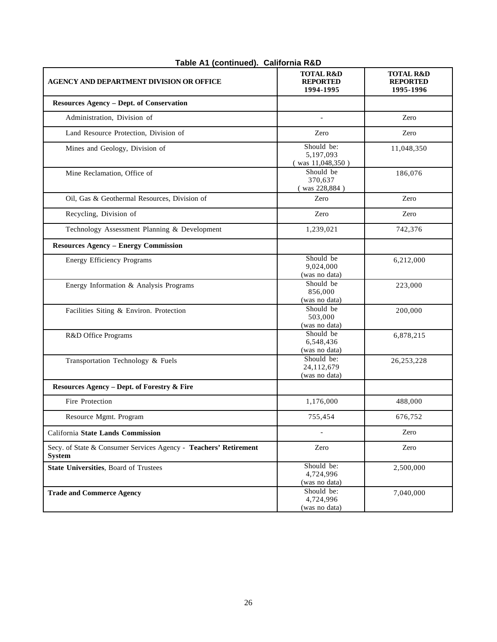| AGENCY AND DEPARTMENT DIVISION OR OFFICE                                          | <b>TOTAL R&amp;D</b><br><b>REPORTED</b><br>1994-1995 | <b>TOTAL R&amp;D</b><br><b>REPORTED</b><br>1995-1996 |
|-----------------------------------------------------------------------------------|------------------------------------------------------|------------------------------------------------------|
| <b>Resources Agency - Dept. of Conservation</b>                                   |                                                      |                                                      |
| Administration, Division of                                                       |                                                      | Zero                                                 |
| Land Resource Protection, Division of                                             | Zero                                                 | Zero                                                 |
| Mines and Geology, Division of                                                    | Should be:<br>5,197,093<br>(was 11,048,350)          | 11,048,350                                           |
| Mine Reclamation, Office of                                                       | Should be<br>370,637<br>(was 228,884)                | 186,076                                              |
| Oil, Gas & Geothermal Resources, Division of                                      | Zero                                                 | Zero                                                 |
| Recycling, Division of                                                            | Zero                                                 | Zero                                                 |
| Technology Assessment Planning & Development                                      | 1,239,021                                            | 742,376                                              |
| <b>Resources Agency - Energy Commission</b>                                       |                                                      |                                                      |
| <b>Energy Efficiency Programs</b>                                                 | Should be<br>9,024,000<br>(was no data)              | 6,212,000                                            |
| Energy Information & Analysis Programs                                            | Should be<br>856,000<br>(was no data)                | 223,000                                              |
| Facilities Siting & Environ. Protection                                           | Should be<br>503,000<br>(was no data)                | 200,000                                              |
| R&D Office Programs                                                               | Should be<br>6,548,436<br>(was no data)              | 6,878,215                                            |
| Transportation Technology & Fuels                                                 | Should be:<br>24,112,679<br>(was no data)            | 26, 253, 228                                         |
| Resources Agency - Dept. of Forestry & Fire                                       |                                                      |                                                      |
| Fire Protection                                                                   | 1,176,000                                            | 488,000                                              |
| Resource Mgmt. Program                                                            | 755,454                                              | 676,752                                              |
| California State Lands Commission                                                 |                                                      | Zero                                                 |
| Secy. of State & Consumer Services Agency - Teachers' Retirement<br><b>System</b> | Zero                                                 | Zero                                                 |
| <b>State Universities, Board of Trustees</b>                                      | Should be:<br>4,724,996<br>(was no data)             | 2,500,000                                            |
| <b>Trade and Commerce Agency</b>                                                  | Should be:<br>4,724,996<br>(was no data)             | 7,040,000                                            |

# **Table A1 (continued). California R&D**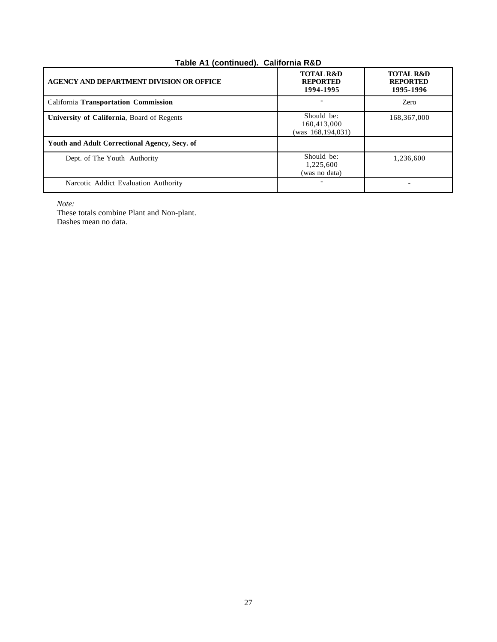# **Table A1 (continued). California R&D**

| <b>AGENCY AND DEPARTMENT DIVISION OR OFFICE</b> | <b>TOTAL R&amp;D</b><br><b>REPORTED</b><br>1994-1995 | <b>TOTAL R&amp;D</b><br><b>REPORTED</b><br>1995-1996 |
|-------------------------------------------------|------------------------------------------------------|------------------------------------------------------|
| California Transportation Commission            |                                                      | Zero                                                 |
| University of California, Board of Regents      | Should be:<br>160,413,000<br>(was 168,194,031)       | 168, 367, 000                                        |
| Youth and Adult Correctional Agency, Secy. of   |                                                      |                                                      |
| Dept. of The Youth Authority                    | Should be:<br>1,225,600<br>(was no data)             | 1,236,600                                            |
| Narcotic Addict Evaluation Authority            |                                                      |                                                      |

*Note:*

These totals combine Plant and Non-plant. Dashes mean no data.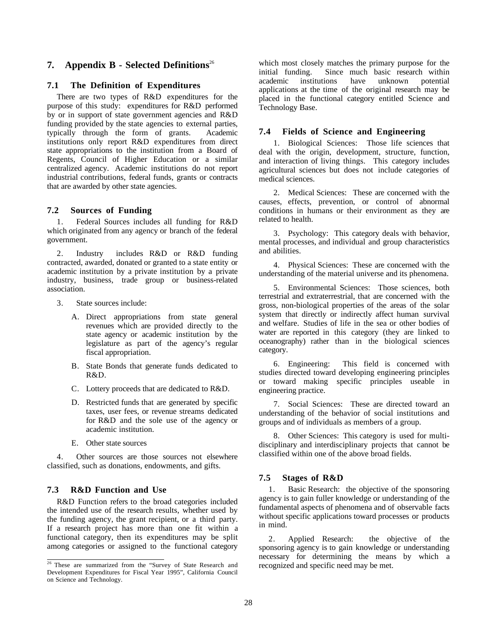# **7. Appendix B - Selected Definitions**<sup>26</sup>

#### **7.1 The Definition of Expenditures**

There are two types of R&D expenditures for the purpose of this study: expenditures for R&D performed by or in support of state government agencies and R&D funding provided by the state agencies to external parties, typically through the form of grants. Academic institutions only report R&D expenditures from direct state appropriations to the institution from a Board of Regents, Council of Higher Education or a similar centralized agency. Academic institutions do not report industrial contributions, federal funds, grants or contracts that are awarded by other state agencies.

#### **7.2 Sources of Funding**

1. Federal Sources includes all funding for R&D which originated from any agency or branch of the federal government.

2. Industry includes R&D or R&D funding contracted, awarded, donated or granted to a state entity or academic institution by a private institution by a private industry, business, trade group or business-related association.

- 3. State sources include:
	- A. Direct appropriations from state general revenues which are provided directly to the state agency or academic institution by the legislature as part of the agency's regular fiscal appropriation.
	- B. State Bonds that generate funds dedicated to R&D.
	- C. Lottery proceeds that are dedicated to R&D.
	- D. Restricted funds that are generated by specific taxes, user fees, or revenue streams dedicated for R&D and the sole use of the agency or academic institution.
	- E. Other state sources

4. Other sources are those sources not elsewhere classified, such as donations, endowments, and gifts.

#### **7.3 R&D Function and Use**

R&D Function refers to the broad categories included the intended use of the research results, whether used by the funding agency, the grant recipient, or a third party. If a research project has more than one fit within a functional category, then its expenditures may be split among categories or assigned to the functional category which most closely matches the primary purpose for the initial funding. Since much basic research within academic institutions have unknown potential applications at the time of the original research may be placed in the functional category entitled Science and Technology Base.

#### **7.4 Fields of Science and Engineering**

1. Biological Sciences: Those life sciences that deal with the origin, development, structure, function, and interaction of living things. This category includes agricultural sciences but does not include categories of medical sciences.

2. Medical Sciences: These are concerned with the causes, effects, prevention, or control of abnormal conditions in humans or their environment as they are related to health.

3. Psychology: This category deals with behavior, mental processes, and individual and group characteristics and abilities.

4. Physical Sciences: These are concerned with the understanding of the material universe and its phenomena.

5. Environmental Sciences: Those sciences, both terrestrial and extraterrestrial, that are concerned with the gross, non-biological properties of the areas of the solar system that directly or indirectly affect human survival and welfare. Studies of life in the sea or other bodies of water are reported in this category (they are linked to oceanography) rather than in the biological sciences category.

6. Engineering: This field is concerned with studies directed toward developing engineering principles or toward making specific principles useable in engineering practice.

7. Social Sciences: These are directed toward an understanding of the behavior of social institutions and groups and of individuals as members of a group.

8. Other Sciences: This category is used for multidisciplinary and interdisciplinary projects that cannot be classified within one of the above broad fields.

#### **7.5 Stages of R&D**

1. Basic Research: the objective of the sponsoring agency is to gain fuller knowledge or understanding of the fundamental aspects of phenomena and of observable facts without specific applications toward processes or products in mind.

2. Applied Research: the objective of the sponsoring agency is to gain knowledge or understanding necessary for determining the means by which a recognized and specific need may be met.

 $\frac{1}{26}$  These are summarized from the "Survey of State Research and Development Expenditures for Fiscal Year 1995", California Council on Science and Technology.